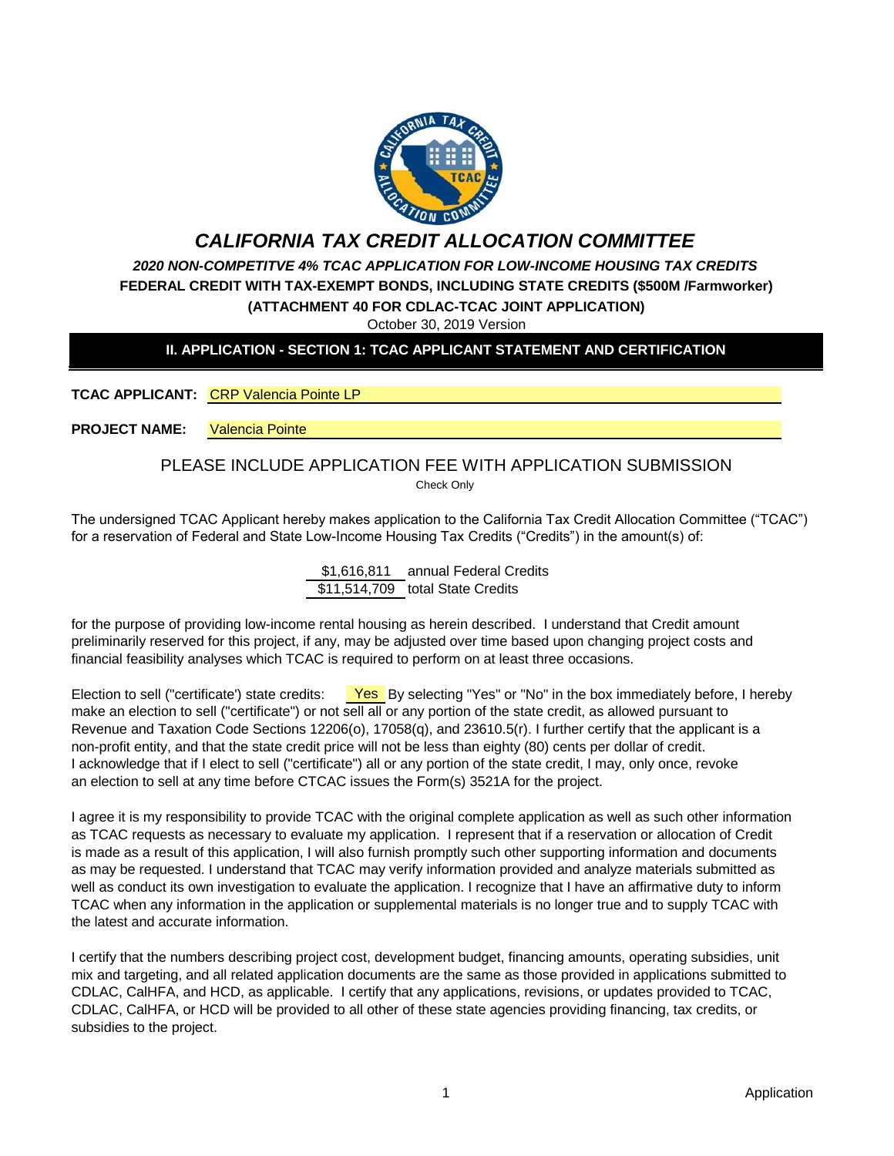

# *CALIFORNIA TAX CREDIT ALLOCATION COMMITTEE*

*2020 NON-COMPETITVE 4% TCAC APPLICATION FOR LOW-INCOME HOUSING TAX CREDITS* **FEDERAL CREDIT WITH TAX-EXEMPT BONDS, INCLUDING STATE CREDITS (\$500M /Farmworker) (ATTACHMENT 40 FOR CDLAC-TCAC JOINT APPLICATION)**

October 30, 2019 Version

# **II. APPLICATION - SECTION 1: TCAC APPLICANT STATEMENT AND CERTIFICATION**

**TCAC APPLICANT:** CRP Valencia Pointe LP

**PROJECT NAME:** Valencia Pointe

#### Check Only PLEASE INCLUDE APPLICATION FEE WITH APPLICATION SUBMISSION

The undersigned TCAC Applicant hereby makes application to the California Tax Credit Allocation Committee ("TCAC") for a reservation of Federal and State Low-Income Housing Tax Credits ("Credits") in the amount(s) of:

> \$1,616,811 annual Federal Credits \$11,514,709 total State Credits

for the purpose of providing low-income rental housing as herein described. I understand that Credit amount preliminarily reserved for this project, if any, may be adjusted over time based upon changing project costs and financial feasibility analyses which TCAC is required to perform on at least three occasions.

Election to sell ("certificate') state credits: Yes By selecting "Yes" or "No" in the box immediately before, I hereby make an election to sell ("certificate") or not sell all or any portion of the state credit, as allowed pursuant to Revenue and Taxation Code Sections 12206(o), 17058(q), and 23610.5(r). I further certify that the applicant is a non-profit entity, and that the state credit price will not be less than eighty (80) cents per dollar of credit. I acknowledge that if I elect to sell ("certificate") all or any portion of the state credit, I may, only once, revoke an election to sell at any time before CTCAC issues the Form(s) 3521A for the project.

I agree it is my responsibility to provide TCAC with the original complete application as well as such other information as TCAC requests as necessary to evaluate my application. I represent that if a reservation or allocation of Credit is made as a result of this application, I will also furnish promptly such other supporting information and documents as may be requested. I understand that TCAC may verify information provided and analyze materials submitted as well as conduct its own investigation to evaluate the application. I recognize that I have an affirmative duty to inform TCAC when any information in the application or supplemental materials is no longer true and to supply TCAC with the latest and accurate information.

I certify that the numbers describing project cost, development budget, financing amounts, operating subsidies, unit mix and targeting, and all related application documents are the same as those provided in applications submitted to CDLAC, CalHFA, and HCD, as applicable. I certify that any applications, revisions, or updates provided to TCAC, CDLAC, CalHFA, or HCD will be provided to all other of these state agencies providing financing, tax credits, or subsidies to the project.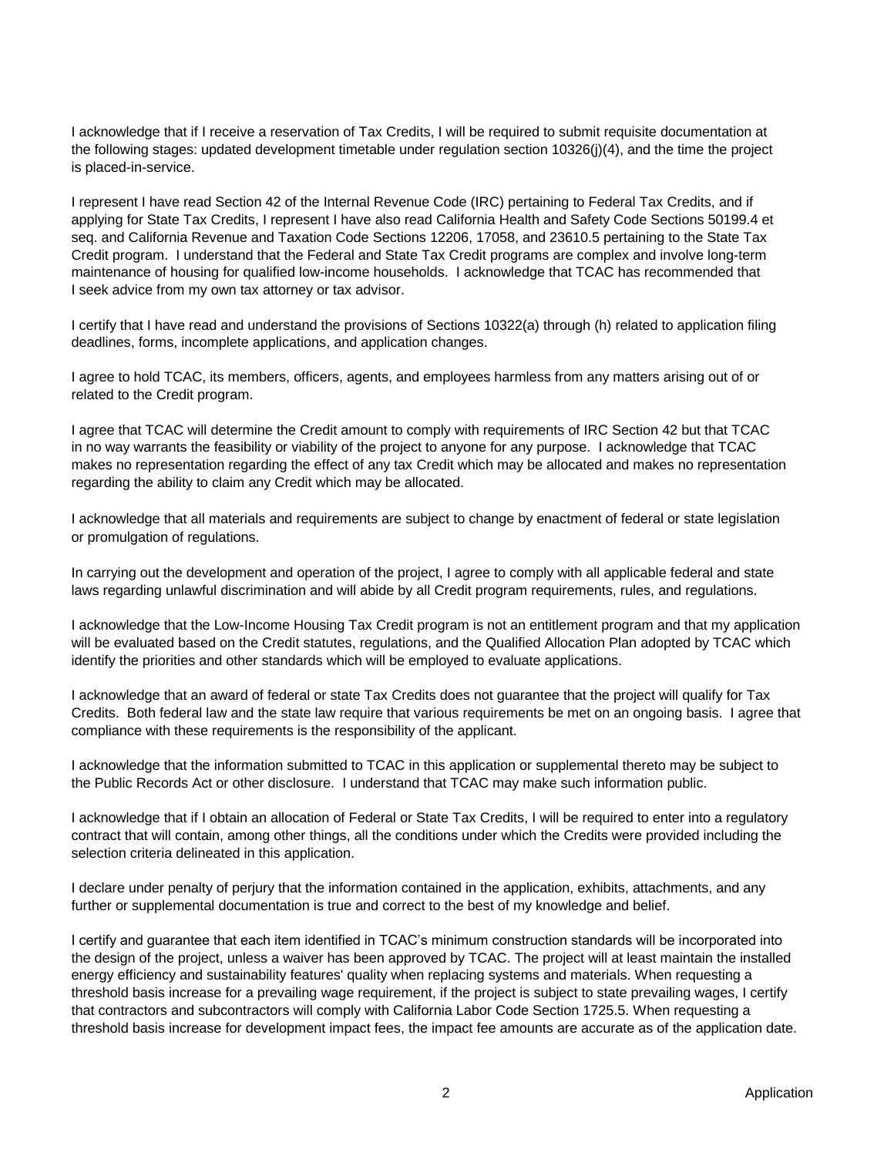I acknowledge that if I receive a reservation of Tax Credits, I will be required to submit requisite documentation at the following stages: updated development timetable under regulation section 10326(j)(4), and the time the project is placed-in-service.

I represent I have read Section 42 of the Internal Revenue Code (IRC) pertaining to Federal Tax Credits, and if applying for State Tax Credits, I represent I have also read California Health and Safety Code Sections 50199.4 et seq. and California Revenue and Taxation Code Sections 12206, 17058, and 23610.5 pertaining to the State Tax Credit program. I understand that the Federal and State Tax Credit programs are complex and involve long-term maintenance of housing for qualified low-income households. I acknowledge that TCAC has recommended that I seek advice from my own tax attorney or tax advisor.

I certify that I have read and understand the provisions of Sections 10322(a) through (h) related to application filing deadlines, forms, incomplete applications, and application changes.

I agree to hold TCAC, its members, officers, agents, and employees harmless from any matters arising out of or related to the Credit program.

I agree that TCAC will determine the Credit amount to comply with requirements of IRC Section 42 but that TCAC in no way warrants the feasibility or viability of the project to anyone for any purpose. I acknowledge that TCAC makes no representation regarding the effect of any tax Credit which may be allocated and makes no representation regarding the ability to claim any Credit which may be allocated.

I acknowledge that all materials and requirements are subject to change by enactment of federal or state legislation or promulgation of regulations.

In carrying out the development and operation of the project, I agree to comply with all applicable federal and state laws regarding unlawful discrimination and will abide by all Credit program requirements, rules, and regulations.

I acknowledge that the Low-Income Housing Tax Credit program is not an entitlement program and that my application will be evaluated based on the Credit statutes, regulations, and the Qualified Allocation Plan adopted by TCAC which identify the priorities and other standards which will be employed to evaluate applications.

I acknowledge that an award of federal or state Tax Credits does not guarantee that the project will qualify for Tax Credits. Both federal law and the state law require that various requirements be met on an ongoing basis. I agree that compliance with these requirements is the responsibility of the applicant.

I acknowledge that the information submitted to TCAC in this application or supplemental thereto may be subject to the Public Records Act or other disclosure. I understand that TCAC may make such information public.

I acknowledge that if I obtain an allocation of Federal or State Tax Credits, I will be required to enter into a regulatory contract that will contain, among other things, all the conditions under which the Credits were provided including the selection criteria delineated in this application.

I declare under penalty of perjury that the information contained in the application, exhibits, attachments, and any further or supplemental documentation is true and correct to the best of my knowledge and belief.

I certify and guarantee that each item identified in TCAC's minimum construction standards will be incorporated into the design of the project, unless a waiver has been approved by TCAC. The project will at least maintain the installed energy efficiency and sustainability features' quality when replacing systems and materials. When requesting a threshold basis increase for a prevailing wage requirement, if the project is subject to state prevailing wages, I certify that contractors and subcontractors will comply with California Labor Code Section 1725.5. When requesting a threshold basis increase for development impact fees, the impact fee amounts are accurate as of the application date.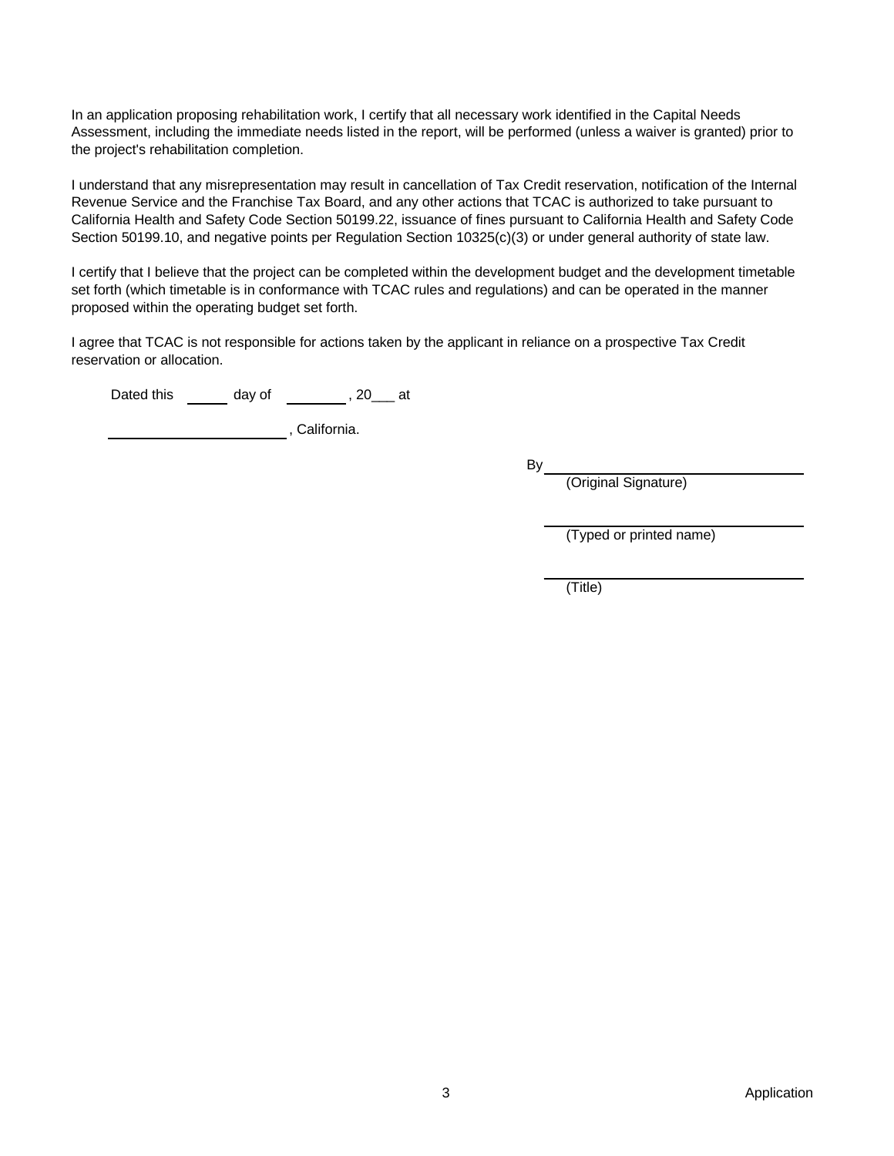In an application proposing rehabilitation work, I certify that all necessary work identified in the Capital Needs Assessment, including the immediate needs listed in the report, will be performed (unless a waiver is granted) prior to the project's rehabilitation completion.

I understand that any misrepresentation may result in cancellation of Tax Credit reservation, notification of the Internal Revenue Service and the Franchise Tax Board, and any other actions that TCAC is authorized to take pursuant to California Health and Safety Code Section 50199.22, issuance of fines pursuant to California Health and Safety Code Section 50199.10, and negative points per Regulation Section 10325(c)(3) or under general authority of state law.

I certify that I believe that the project can be completed within the development budget and the development timetable set forth (which timetable is in conformance with TCAC rules and regulations) and can be operated in the manner proposed within the operating budget set forth.

I agree that TCAC is not responsible for actions taken by the applicant in reliance on a prospective Tax Credit reservation or allocation.

Dated this \_\_\_\_\_\_\_ day of \_\_\_\_\_\_\_\_\_, 20\_\_\_ at

, California.

 $By_$ 

(Original Signature)

(Typed or printed name)

(Title)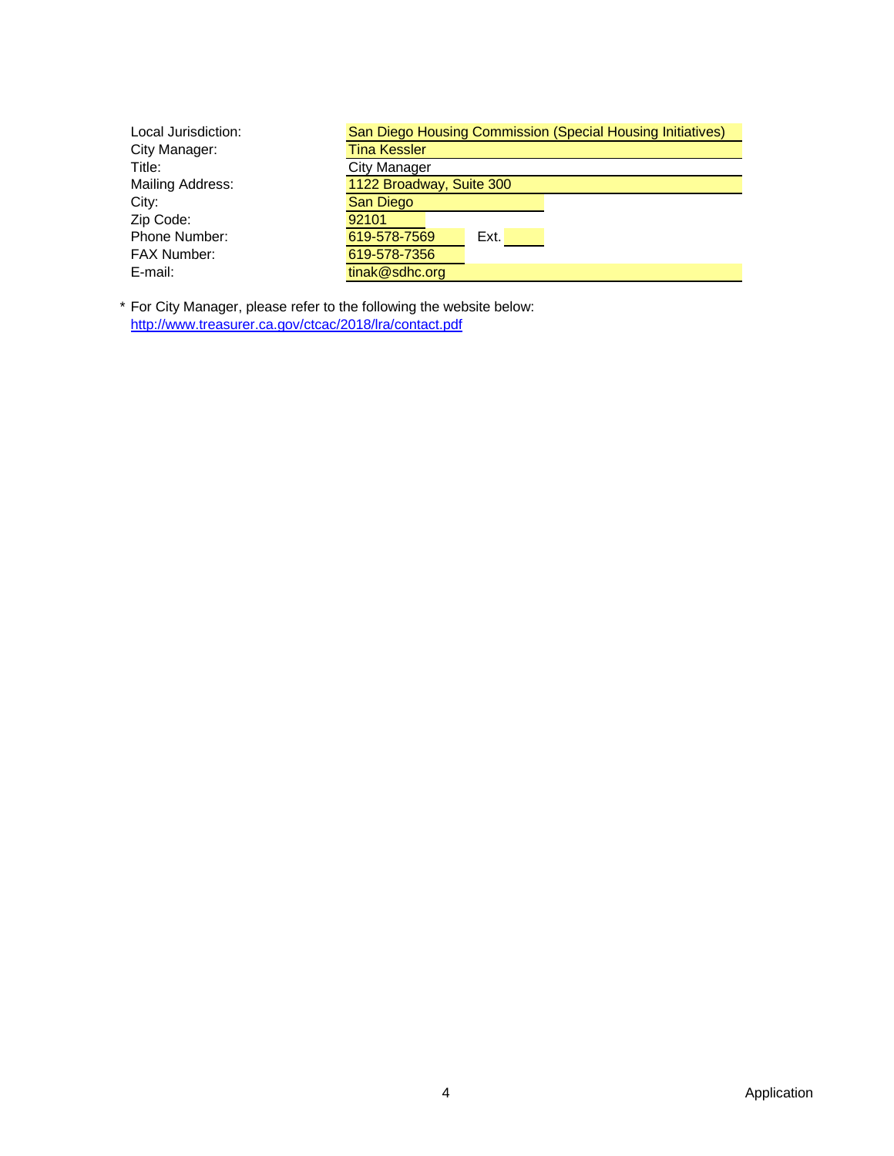| Local Jurisdiction: | San Diego Housing Commission (Special Housing Initiatives) |
|---------------------|------------------------------------------------------------|
| City Manager:       | <b>Tina Kessler</b>                                        |
| Title:              | <b>City Manager</b>                                        |
| Mailing Address:    | 1122 Broadway, Suite 300                                   |
| City:               | San Diego                                                  |
| Zip Code:           | 92101                                                      |
| Phone Number:       | 619-578-7569<br>Ext.                                       |
| <b>FAX Number:</b>  | 619-578-7356                                               |
| E-mail:             | tinak@sdhc.org                                             |

\* For City Manager, please refer to the following the website below: [http](http://www.treasurer.ca.gov/ctcac/2018/lra/contact.pdf)://www.treasurer.ca.gov/ctcac/2018/lra/contact.pdf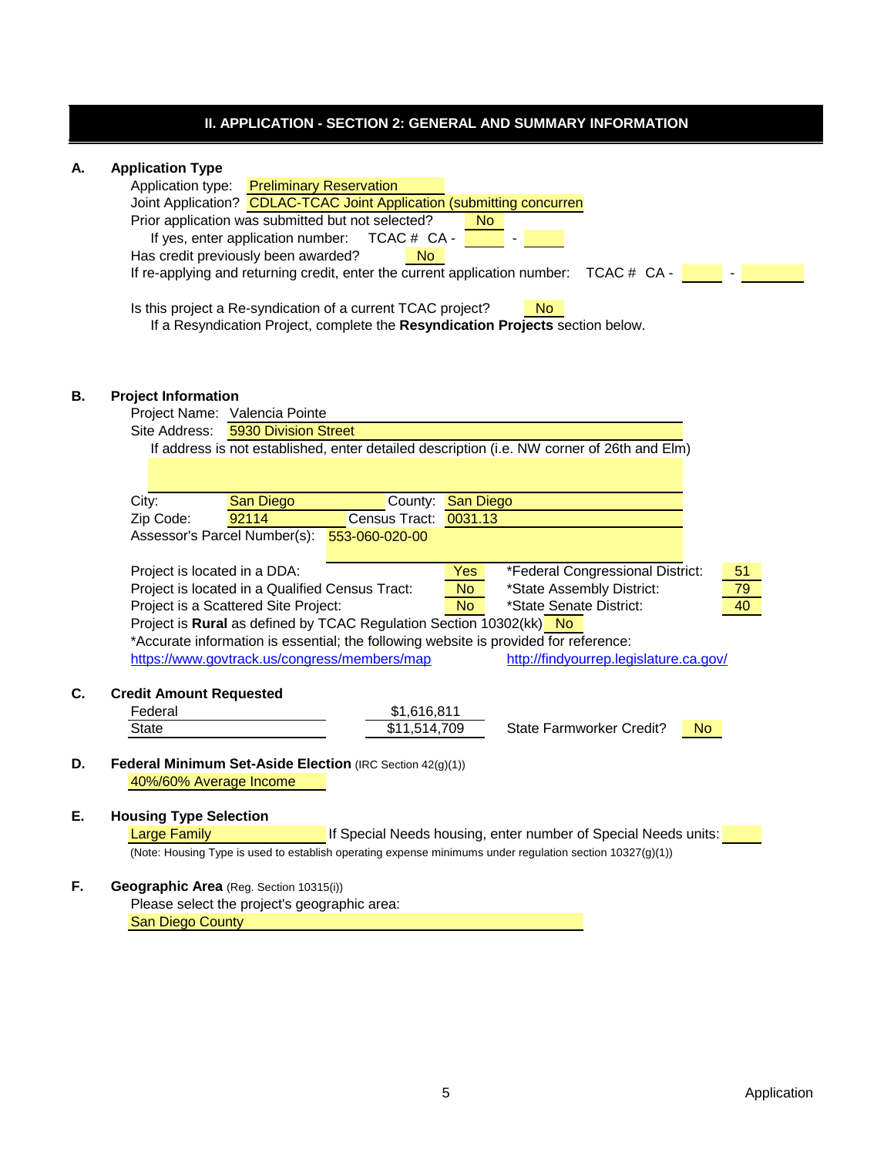# **II. APPLICATION - SECTION 2: GENERAL AND SUMMARY INFORMATION**

# **A. Application Type**

|              | ppnoanon rypo                                                                                             |
|--------------|-----------------------------------------------------------------------------------------------------------|
|              | <b>Preliminary Reservation</b><br>Application type:                                                       |
|              | Joint Application? CDLAC-TCAC Joint Application (submitting concurren                                     |
|              | Prior application was submitted but not selected?<br><b>No</b>                                            |
|              | If yes, enter application number:<br>TCAC # CA -                                                          |
|              | Has credit previously been awarded?<br><b>No</b>                                                          |
|              | If re-applying and returning credit, enter the current application number: TCAC # CA -                    |
|              |                                                                                                           |
|              | Is this project a Re-syndication of a current TCAC project?<br><b>No</b>                                  |
|              | If a Resyndication Project, complete the Resyndication Projects section below.                            |
|              |                                                                                                           |
|              |                                                                                                           |
|              |                                                                                                           |
|              | <b>Project Information</b>                                                                                |
|              | Project Name: Valencia Pointe                                                                             |
|              | Site Address:<br>5930 Division Street                                                                     |
|              | If address is not established, enter detailed description (i.e. NW corner of 26th and Elm)                |
|              |                                                                                                           |
|              |                                                                                                           |
| City:        | County: San Diego<br><b>San Diego</b>                                                                     |
| Zip Code:    | 92114<br>Census Tract: 0031.13                                                                            |
|              | Assessor's Parcel Number(s):<br>553-060-020-00                                                            |
|              | *Federal Congressional District:<br>Project is located in a DDA:<br>51<br>Yes                             |
|              | Project is located in a Qualified Census Tract:<br>*State Assembly District:<br><b>No</b><br>79           |
|              | Project is a Scattered Site Project:<br>*State Senate District:<br>40<br><b>No</b>                        |
|              | Project is Rural as defined by TCAC Regulation Section 10302(kk) No                                       |
|              | *Accurate information is essential; the following website is provided for reference:                      |
|              |                                                                                                           |
|              | https://www.govtrack.us/congress/members/map<br>http://findyourrep.legislature.ca.gov/                    |
|              | <b>Credit Amount Requested</b>                                                                            |
| Federal      | \$1,616,811                                                                                               |
| <b>State</b> | <b>State Farmworker Credit?</b><br>\$11,514,709<br>N <sub>o</sub>                                         |
|              |                                                                                                           |
|              |                                                                                                           |
|              |                                                                                                           |
|              | Federal Minimum Set-Aside Election (IRC Section 42(g)(1))                                                 |
|              | 40%/60% Average Income                                                                                    |
|              |                                                                                                           |
|              | <b>Housing Type Selection</b>                                                                             |
|              | <b>Large Family</b><br>If Special Needs housing, enter number of Special Needs units:                     |
|              | (Note: Housing Type is used to establish operating expense minimums under regulation section 10327(g)(1)) |
|              | Geographic Area (Reg. Section 10315(i))                                                                   |
|              | Please select the project's geographic area:                                                              |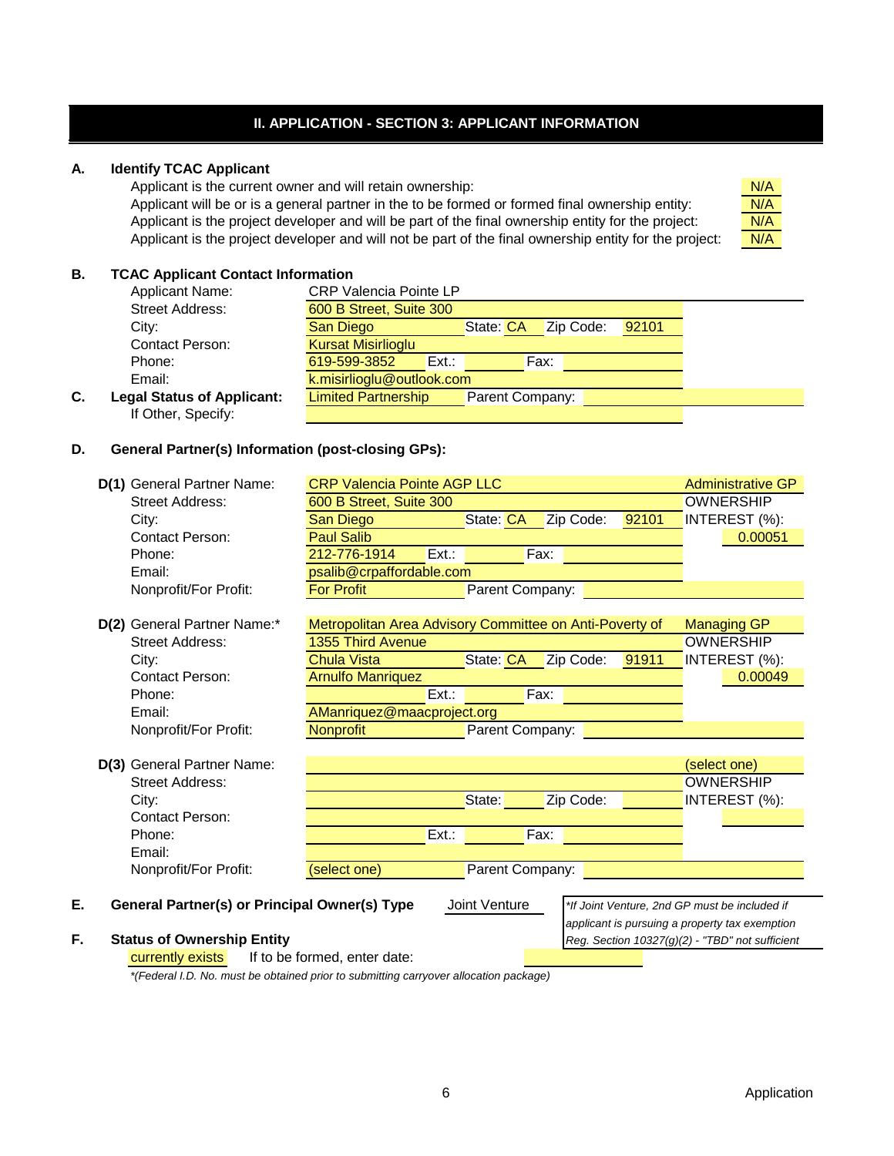# **II. APPLICATION - SECTION 3: APPLICANT INFORMATION**

### **A. Identify TCAC Applicant**

Applicant is the current owner and will retain ownership:

Applicant will be or is a general partner in the to be formed or formed final ownership entity: Applicant is the project developer and will be part of the final ownership entity for the project: Applicant is the project developer and will not be part of the final ownership entity for the project:



## **B. TCAC Applicant Contact Information**

|    | <b>Applicant Name:</b>            | <b>CRP Valencia Pointe LP</b> |      |                 |           |       |
|----|-----------------------------------|-------------------------------|------|-----------------|-----------|-------|
|    | Street Address:                   | 600 B Street, Suite 300       |      |                 |           |       |
|    | City:                             | San Diego                     |      | State: CA       | Zip Code: | 92101 |
|    | <b>Contact Person:</b>            | <b>Kursat Misirlioglu</b>     |      |                 |           |       |
|    | Phone:                            | 619-599-3852                  | Ext. |                 | Fax:      |       |
|    | Email:                            | k.misirlioglu@outlook.com     |      |                 |           |       |
| С. | <b>Legal Status of Applicant:</b> | <b>Limited Partnership</b>    |      | Parent Company: |           |       |
|    | If Other, Specify:                |                               |      |                 |           |       |

## **D. General Partner(s) Information (post-closing GPs):**

| D(1) General Partner Name:                          | <b>CRP Valencia Pointe AGP LLC</b>                      |                 |           |       | <b>Administrative GP</b>                        |
|-----------------------------------------------------|---------------------------------------------------------|-----------------|-----------|-------|-------------------------------------------------|
| <b>Street Address:</b>                              | 600 B Street, Suite 300                                 |                 |           |       | <b>OWNERSHIP</b>                                |
| City:                                               | San Diego                                               | State: CA       | Zip Code: | 92101 | INTEREST (%):                                   |
| <b>Contact Person:</b>                              | <b>Paul Salib</b>                                       |                 |           |       | 0.00051                                         |
| Phone:                                              | 212-776-1914                                            | Ext.:           | Fax:      |       |                                                 |
| Email:                                              | psalib@crpaffordable.com                                |                 |           |       |                                                 |
| Nonprofit/For Profit:                               | <b>For Profit</b>                                       | Parent Company: |           |       |                                                 |
|                                                     |                                                         |                 |           |       |                                                 |
| D(2) General Partner Name:*                         | Metropolitan Area Advisory Committee on Anti-Poverty of |                 |           |       | <b>Managing GP</b>                              |
| <b>Street Address:</b>                              | 1355 Third Avenue                                       |                 |           |       | <b>OWNERSHIP</b>                                |
| City:                                               | <b>Chula Vista</b>                                      | State: CA       | Zip Code: | 91911 | INTEREST (%):                                   |
| <b>Contact Person:</b>                              | <b>Arnulfo Manriquez</b>                                |                 |           |       | 0.00049                                         |
| Phone:                                              |                                                         | Ext.:           | Fax:      |       |                                                 |
| Email:                                              | AManriquez@maacproject.org                              |                 |           |       |                                                 |
| Nonprofit/For Profit:                               | Nonprofit                                               | Parent Company: |           |       |                                                 |
|                                                     |                                                         |                 |           |       |                                                 |
| D(3) General Partner Name:                          |                                                         |                 |           |       | (select one)                                    |
| <b>Street Address:</b>                              |                                                         |                 |           |       | <b>OWNERSHIP</b>                                |
| City:                                               |                                                         | State:          | Zip Code: |       | INTEREST (%):                                   |
| <b>Contact Person:</b>                              |                                                         |                 |           |       |                                                 |
| Phone:                                              |                                                         | Ext.            | Fax:      |       |                                                 |
| Email:                                              |                                                         |                 |           |       |                                                 |
| Nonprofit/For Profit:                               | (select one)                                            | Parent Company: |           |       |                                                 |
|                                                     |                                                         |                 |           |       |                                                 |
| Е.<br>General Partner(s) or Principal Owner(s) Type |                                                         | Joint Venture   |           |       | *If Joint Venture, 2nd GP must be included if   |
|                                                     |                                                         |                 |           |       | applicant is pursuing a property tax exemption  |
| F.<br><b>Status of Ownership Entity</b>             |                                                         |                 |           |       | Reg. Section 10327(g)(2) - "TBD" not sufficient |
| currently exists                                    | If to be formed, enter date:                            |                 |           |       |                                                 |

*\*(Federal I.D. No. must be obtained prior to submitting carryover allocation package)*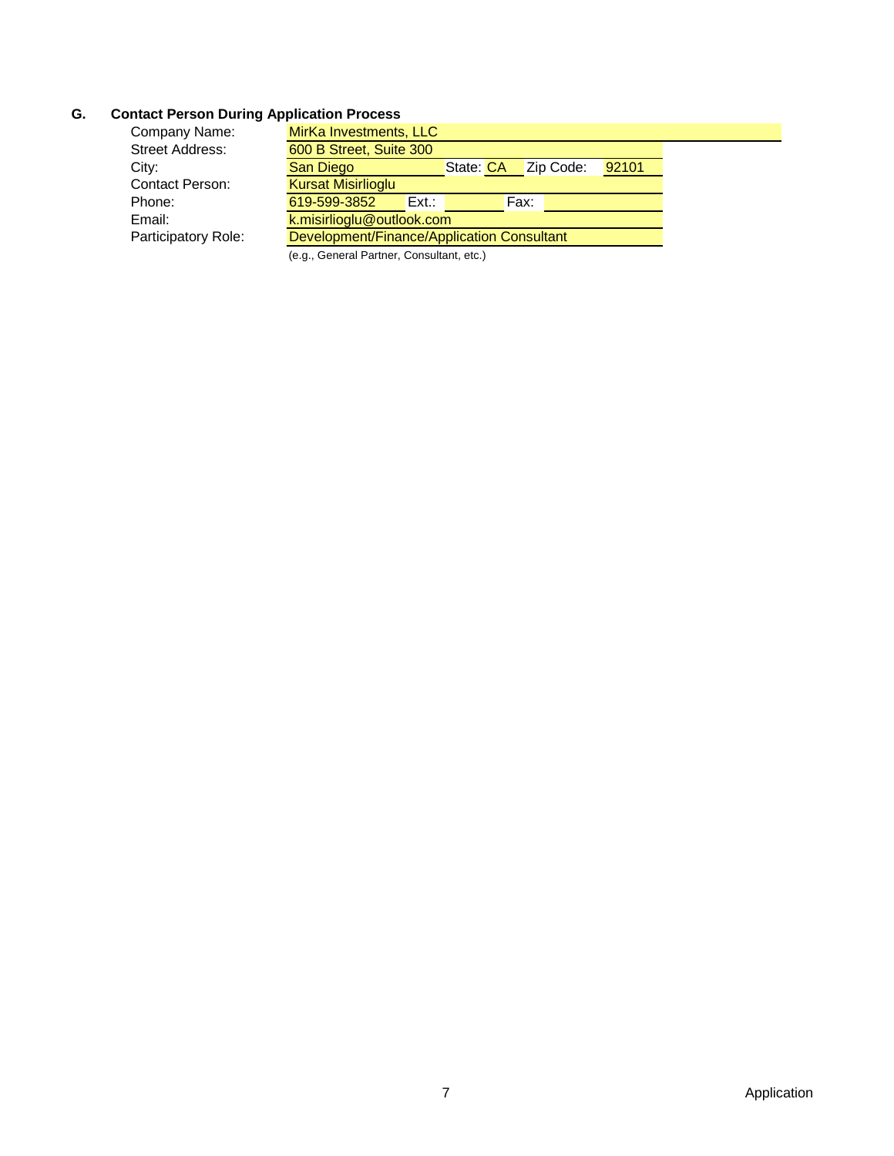# **G. Contact Person During Application Process**

| Company Name:          | MirKa Investments, LLC                     |          |           |           |       |  |
|------------------------|--------------------------------------------|----------|-----------|-----------|-------|--|
| <b>Street Address:</b> | 600 B Street, Suite 300                    |          |           |           |       |  |
| City:                  | San Diego                                  |          | State: CA | Zip Code: | 92101 |  |
| Contact Person:        | <b>Kursat Misirlioglu</b>                  |          |           |           |       |  |
| Phone:                 | 619-599-3852                               | $Ext.$ : |           | Fax:      |       |  |
| Email:                 | k.misirlioglu@outlook.com                  |          |           |           |       |  |
| Participatory Role:    | Development/Finance/Application Consultant |          |           |           |       |  |
|                        |                                            |          |           |           |       |  |

(e.g., General Partner, Consultant, etc.)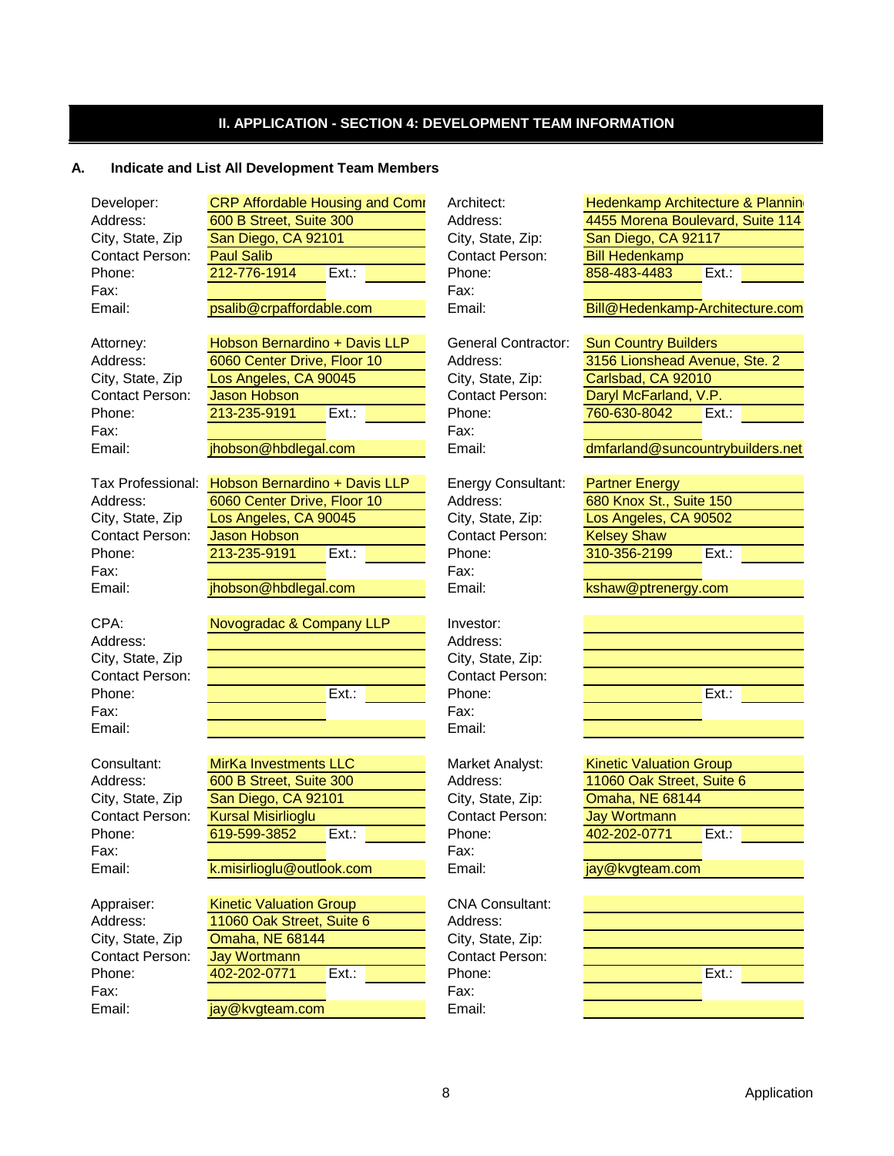# **II. APPLICATION - SECTION 4: DEVELOPMENT TEAM INFORMATION**

#### **A. Indicate and List All Development Team Members**

| Developer.       | CRF Alloldable Housing and Comi | AIGHIEGU.                  | <b>Hederlinghip Architectur</b> |
|------------------|---------------------------------|----------------------------|---------------------------------|
| Address:         | 600 B Street, Suite 300         | Address:                   | 4455 Morena Boulevard           |
| City, State, Zip | San Diego, CA 92101             | City, State, Zip:          | San Diego, CA 92117             |
| Contact Person:  | <b>Paul Salib</b>               | <b>Contact Person:</b>     | <b>Bill Hedenkamp</b>           |
| Phone:           | 212-776-1914<br>$Ext.$ :        | Phone:                     | 858-483-4483<br>Ext.            |
| Fax:             |                                 | Fax:                       |                                 |
| Email:           | psalib@crpaffordable.com        | Email:                     | Bill@Hedenkamp-Archi            |
|                  |                                 |                            |                                 |
| Attorney:        | Hobson Bernardino + Davis LLP   | <b>General Contractor:</b> | <b>Sun Country Builders</b>     |
| Address:         | 6060 Center Drive, Floor 10     | Address:                   | 3156 Lionshead Avenue           |
|                  |                                 |                            |                                 |

| City, State, Zip       | Los Angeles, CA 90045 |      | City, State, Zip:      | Carlsbad, CA 92010    |      |
|------------------------|-----------------------|------|------------------------|-----------------------|------|
| <b>Contact Person:</b> | Jason Hobson          |      | <b>Contact Person:</b> | Daryl McFarland, V.P. |      |
| Phone:                 | 213-235-9191          | Ext. | Phone:                 | 760-630-8042          | Ext. |
| Fax:                   |                       |      | Fax:                   |                       |      |
| Email:                 | jhobson@hbdlegal.com  |      | Email:                 | dmfarland@suncountryl |      |

|                  | Tax Professional: Hobson Bernardino + Davis LLP | <b>Energy Consultant:</b> | <b>Partner Energy</b>   |  |
|------------------|-------------------------------------------------|---------------------------|-------------------------|--|
| Address:         | 6060 Center Drive, Floor 10                     | Address:                  | 680 Knox St., Suite 150 |  |
| City, State, Zip | Los Angeles, CA 90045                           | City, State, Zip:         | Los Angeles, CA 90502   |  |
| Contact Person:  | Jason Hobson                                    | <b>Contact Person:</b>    | <b>Kelsey Shaw</b>      |  |
| Phone:           | 213-235-9191<br>$Ext.$ :                        | Phone:                    | 310-356-2199<br>Ext.    |  |
| Fax:             |                                                 | Fax:                      |                         |  |
| Email:           | jhobson@hbdlegal.com                            | Email:                    | kshaw@ptrenergy.com     |  |
|                  |                                                 |                           |                         |  |

| CPA:             | Novogradac & Company LLP | Investor:              |      |
|------------------|--------------------------|------------------------|------|
| Address:         |                          | Address:               |      |
| City, State, Zip |                          | City, State, Zip:      |      |
| Contact Person:  |                          | <b>Contact Person:</b> |      |
| Phone:           | $Ext.$ :                 | Phone:                 | Ext. |
| Fax:             |                          | Fax:                   |      |
| Email:           |                          | Email:                 |      |

| Consultant:      | <b>MirKa Investments LLC</b> | Market Analyst:   | <b>Kinetic Valuation Group</b> |
|------------------|------------------------------|-------------------|--------------------------------|
| Address:         | 600 B Street, Suite 300      | Address:          | 11060 Oak Street, Suite        |
| City, State, Zip | San Diego, CA 92101          | City, State, Zip: | <b>Omaha, NE 68144</b>         |
| Contact Person:  | <b>Kursal Misirlioglu</b>    | Contact Person:   | Jay Wortmann                   |
| Phone:           | 619-599-3852<br>Ext.:        | Phone:            | 402-202-0771<br>Ext.           |
| Fax:             |                              | Fax:              |                                |
| Email:           | k.misirlioglu@outlook.com    | Email:            | jay@kvgteam.com                |

| Appraiser:       | <b>Kinetic Valuation Group</b> | <b>CNA Consultant:</b> |      |
|------------------|--------------------------------|------------------------|------|
| Address:         | 11060 Oak Street, Suite 6      | Address:               |      |
| City, State, Zip | <b>Omaha, NE 68144</b>         | City, State, Zip:      |      |
| Contact Person:  | Jay Wortmann                   | <b>Contact Person:</b> |      |
| Phone:           | 402-202-0771<br>Ext.           | Phone:                 | Ext. |
| Fax:             |                                | Fax:                   |      |
| Email:           | jay@kvgteam.com                | Email:                 |      |

| eneral Contractor: |  |
|--------------------|--|
| ddress:            |  |
| ty, State, Zip:    |  |
| ontact Person:     |  |
| one:               |  |
| IX:                |  |
|                    |  |

| Investor:         |
|-------------------|
| Address:          |
| City, State, Zip: |
| Contact Person    |
| Phone:            |
| Fax:              |
| Email:            |

| Developer:       | <b>CRP Affordable Housing and Comr</b> | Architect:             | <b>Hedenkamp Architecture &amp; Plannin</b> |  |  |
|------------------|----------------------------------------|------------------------|---------------------------------------------|--|--|
| Address:         | 600 B Street, Suite 300                | Address:               | 4455 Morena Boulevard, Suite 114            |  |  |
| City, State, Zip | San Diego, CA 92101                    | City, State, Zip:      | San Diego, CA 92117                         |  |  |
| Contact Person:  | <b>Paul Salib</b>                      | <b>Contact Person:</b> | <b>Bill Hedenkamp</b>                       |  |  |
| Phone:           | 212-776-1914<br>Ext.:                  | Phone:                 | 858-483-4483<br>Ext.                        |  |  |
|                  |                                        |                        |                                             |  |  |

Bill@Hedenkamp-Architecture.com

| <b>Sun Country Builders</b>   |      |  |
|-------------------------------|------|--|
| 3156 Lionshead Avenue, Ste. 2 |      |  |
| Carlsbad, CA 92010            |      |  |
| Daryl McFarland, V.P.         |      |  |
| 760-630-8042                  | Ext: |  |
|                               |      |  |

dmfarland@suncountrybuilders.net

| <b>Partner Energy</b>   |      |  |
|-------------------------|------|--|
| 680 Knox St., Suite 150 |      |  |
| Los Angeles, CA 90502   |      |  |
| <b>Kelsey Shaw</b>      |      |  |
| 310-356-2199            | Ext: |  |
|                         |      |  |

| Ext.: |  |
|-------|--|
|       |  |
|       |  |

| <b>Kinetic Valuation Group</b> |       |
|--------------------------------|-------|
| 11060 Oak Street, Suite 6      |       |
| Omaha, NE 68144                |       |
| <b>Jay Wortmann</b>            |       |
| 402-202-0771                   | Ext.: |
|                                |       |

| Ext.: |  |
|-------|--|
|       |  |
|       |  |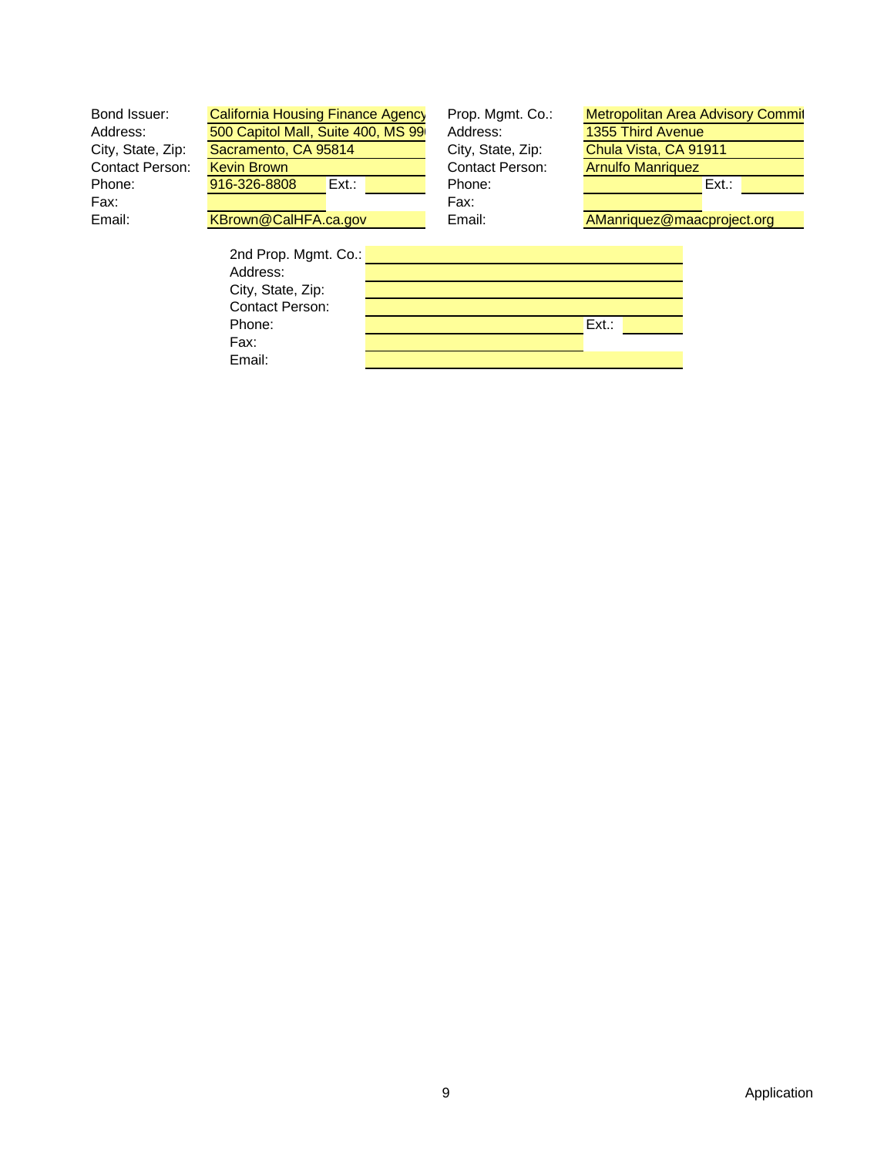| Bond Issuer:           | California Housing Finance Agency  | Prop. Mgmt. Co.:  | <b>Metropolitan Area Advisory Commit</b> |  |
|------------------------|------------------------------------|-------------------|------------------------------------------|--|
| Address:               | 500 Capitol Mall, Suite 400, MS 99 | Address:          | 1355 Third Avenue                        |  |
| City, State, Zip:      | Sacramento, CA 95814               | City, State, Zip: | Chula Vista, CA 91911                    |  |
| <b>Contact Person:</b> | Kevin Brown                        | Contact Person:   | <b>Arnulfo Manriquez</b>                 |  |
| Phone:                 | $Ext.$ :<br>916-326-8808           | Phone:            | Ext.:                                    |  |
| Fax:                   |                                    | Fax:              |                                          |  |
| Email:                 | KBrown@CalHFA.ca.gov               | Email:            | AManriquez@maacproject.org               |  |
|                        |                                    |                   |                                          |  |
|                        | 2nd Prop. Mgmt. Co.:               |                   |                                          |  |
|                        | Address:                           |                   |                                          |  |
|                        | City, State, Zip:                  |                   |                                          |  |
|                        | Contact Person:                    |                   |                                          |  |

Phone: Ext.: Ext.: Ext.: Ext.: Ext.: Ext.: Ext.: Ext.: Ext.: Ext.: Ext.: Ext.: Ext.: Ext.: Ext.: Ext.: Ext.: Ext.: Ext.: Ext.: Ext.: Ext.: Ext.: Ext.: Ext.: Ext.: Ext.: Ext.: Ext.: Ext.: Ext.: Ext.: Ext.: Ext.: Ext.: Ext.:

Fax: Email: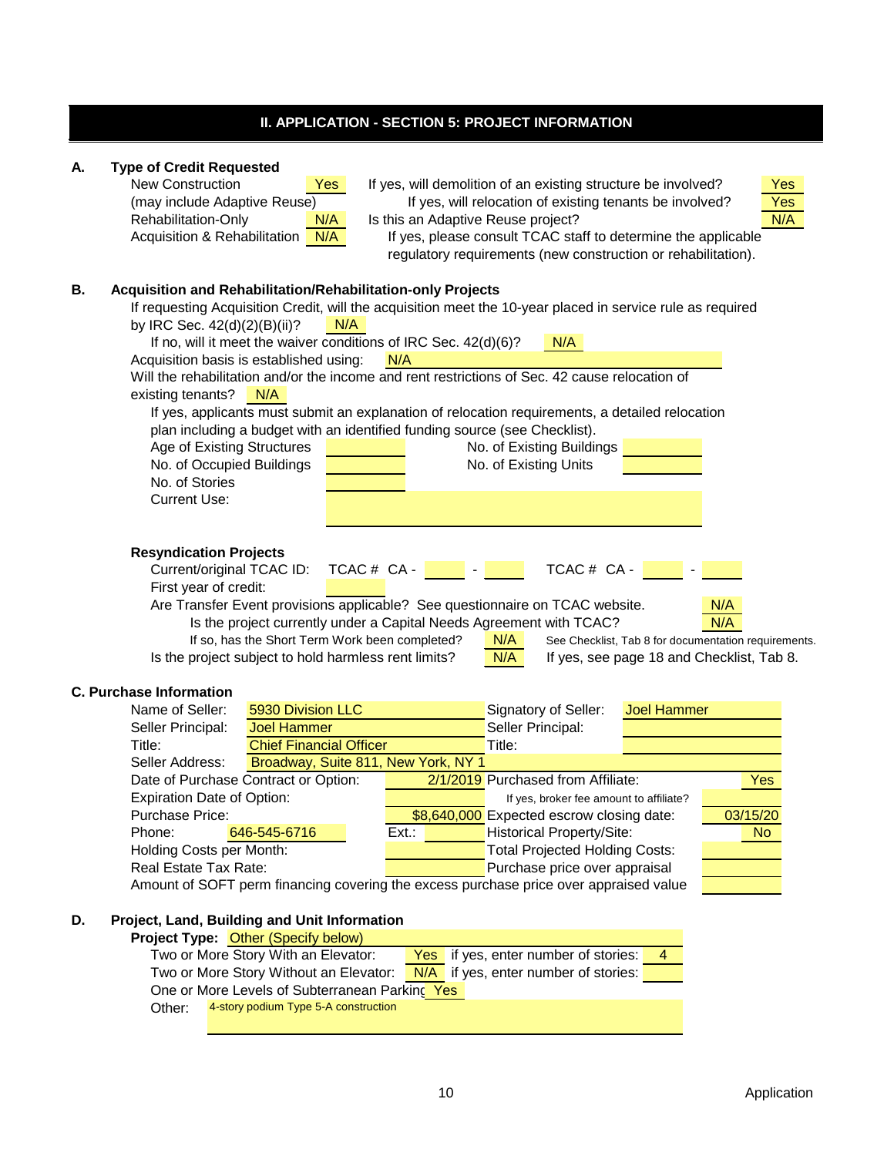# **II. APPLICATION - SECTION 5: PROJECT INFORMATION**

| Α. | <b>Type of Credit Requested</b><br><b>New Construction</b><br>If yes, will demolition of an existing structure be involved?<br>Yes<br><b>Yes</b><br>(may include Adaptive Reuse)<br>Yes<br>If yes, will relocation of existing tenants be involved?<br>N/A<br>Rehabilitation-Only<br>Is this an Adaptive Reuse project?<br>N/A<br>Acquisition & Rehabilitation N/A<br>If yes, please consult TCAC staff to determine the applicable<br>regulatory requirements (new construction or rehabilitation).                                                                                                                                                                                                                                                                                                                  |
|----|-----------------------------------------------------------------------------------------------------------------------------------------------------------------------------------------------------------------------------------------------------------------------------------------------------------------------------------------------------------------------------------------------------------------------------------------------------------------------------------------------------------------------------------------------------------------------------------------------------------------------------------------------------------------------------------------------------------------------------------------------------------------------------------------------------------------------|
| В. | Acquisition and Rehabilitation/Rehabilitation-only Projects<br>If requesting Acquisition Credit, will the acquisition meet the 10-year placed in service rule as required<br>by IRC Sec. 42(d)(2)(B)(ii)?<br>N/A<br>If no, will it meet the waiver conditions of IRC Sec. 42(d)(6)?<br>N/A<br>Acquisition basis is established using:<br>N/A<br>Will the rehabilitation and/or the income and rent restrictions of Sec. 42 cause relocation of<br>existing tenants?<br>N/A<br>If yes, applicants must submit an explanation of relocation requirements, a detailed relocation<br>plan including a budget with an identified funding source (see Checklist).<br>Age of Existing Structures<br>No. of Existing Buildings<br>No. of Occupied Buildings<br>No. of Existing Units<br>No. of Stories<br><b>Current Use:</b> |
|    | <b>Resyndication Projects</b><br>TCAC # CA -<br>Current/original TCAC ID:<br>$TCAC # CA -$<br>First year of credit:<br>Are Transfer Event provisions applicable? See questionnaire on TCAC website.<br>N/A<br>N/A<br>Is the project currently under a Capital Needs Agreement with TCAC?<br>If so, has the Short Term Work been completed?<br>N/A<br>See Checklist, Tab 8 for documentation requirements.<br>Is the project subject to hold harmless rent limits?<br>N/A<br>If yes, see page 18 and Checklist, Tab 8.                                                                                                                                                                                                                                                                                                 |
|    | <b>C. Purchase Information</b>                                                                                                                                                                                                                                                                                                                                                                                                                                                                                                                                                                                                                                                                                                                                                                                        |
|    | Name of Seller:<br>5930 Division LLC<br><b>Joel Hammer</b><br>Signatory of Seller:                                                                                                                                                                                                                                                                                                                                                                                                                                                                                                                                                                                                                                                                                                                                    |
|    | Seller Principal:<br>Seller Principal:<br><b>Joel Hammer</b>                                                                                                                                                                                                                                                                                                                                                                                                                                                                                                                                                                                                                                                                                                                                                          |
|    | <b>Chief Financial Officer</b><br>Title:<br>Title:                                                                                                                                                                                                                                                                                                                                                                                                                                                                                                                                                                                                                                                                                                                                                                    |
|    | Broadway, Suite 811, New York, NY 1<br>Seller Address:                                                                                                                                                                                                                                                                                                                                                                                                                                                                                                                                                                                                                                                                                                                                                                |
|    | 2/1/2019 Purchased from Affiliate:<br>Yes<br>Date of Purchase Contract or Option:                                                                                                                                                                                                                                                                                                                                                                                                                                                                                                                                                                                                                                                                                                                                     |
|    | <b>Expiration Date of Option:</b><br>If yes, broker fee amount to affiliate?<br><b>Purchase Price:</b>                                                                                                                                                                                                                                                                                                                                                                                                                                                                                                                                                                                                                                                                                                                |
|    | 03/15/20<br>\$8,640,000 Expected escrow closing date:<br>Phone:<br><b>Historical Property/Site:</b><br>646-545-6716<br>Ext.<br><b>No</b>                                                                                                                                                                                                                                                                                                                                                                                                                                                                                                                                                                                                                                                                              |
|    | Holding Costs per Month:<br><b>Total Projected Holding Costs:</b>                                                                                                                                                                                                                                                                                                                                                                                                                                                                                                                                                                                                                                                                                                                                                     |
|    | Purchase price over appraisal<br>Real Estate Tax Rate:                                                                                                                                                                                                                                                                                                                                                                                                                                                                                                                                                                                                                                                                                                                                                                |
|    | Amount of SOFT perm financing covering the excess purchase price over appraised value                                                                                                                                                                                                                                                                                                                                                                                                                                                                                                                                                                                                                                                                                                                                 |
|    |                                                                                                                                                                                                                                                                                                                                                                                                                                                                                                                                                                                                                                                                                                                                                                                                                       |
| D. | Project, Land, Building and Unit Information                                                                                                                                                                                                                                                                                                                                                                                                                                                                                                                                                                                                                                                                                                                                                                          |
|    | <b>Project Type: Other (Specify below)</b>                                                                                                                                                                                                                                                                                                                                                                                                                                                                                                                                                                                                                                                                                                                                                                            |
|    | Two or More Story With an Elevator:<br>if yes, enter number of stories:<br>Yes<br>4                                                                                                                                                                                                                                                                                                                                                                                                                                                                                                                                                                                                                                                                                                                                   |
|    | Two or More Story Without an Elevator:<br>if yes, enter number of stories:<br>N/A                                                                                                                                                                                                                                                                                                                                                                                                                                                                                                                                                                                                                                                                                                                                     |
|    | One or More Levels of Subterranean Parking Yes                                                                                                                                                                                                                                                                                                                                                                                                                                                                                                                                                                                                                                                                                                                                                                        |
|    | 4-story podium Type 5-A construction<br>Other:                                                                                                                                                                                                                                                                                                                                                                                                                                                                                                                                                                                                                                                                                                                                                                        |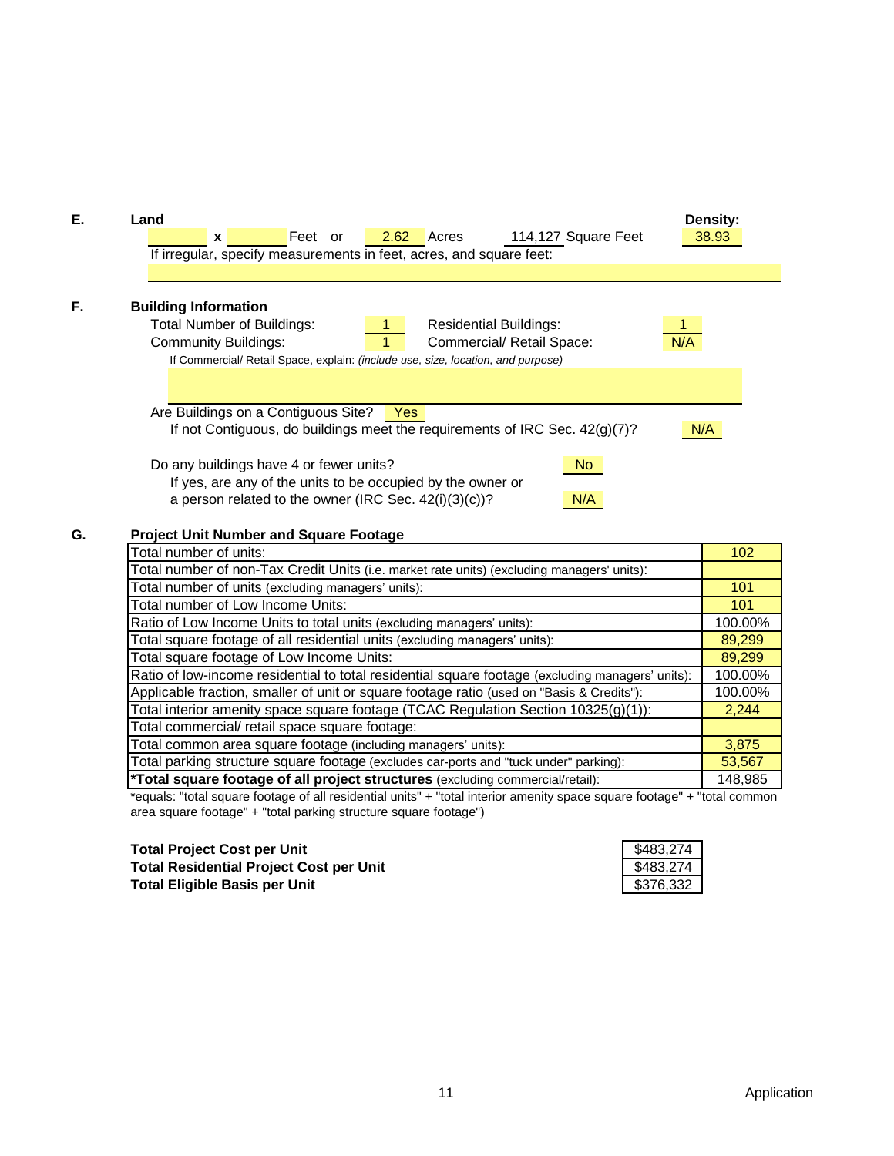

## **G. Project Unit Number and Square Footage**

| Total number of units:                                                                           | 102     |
|--------------------------------------------------------------------------------------------------|---------|
| Total number of non-Tax Credit Units (i.e. market rate units) (excluding managers' units):       |         |
| Total number of units (excluding managers' units):                                               | 101     |
| Total number of Low Income Units:                                                                | 101     |
| Ratio of Low Income Units to total units (excluding managers' units):                            | 100.00% |
| Total square footage of all residential units (excluding managers' units):                       | 89,299  |
| Total square footage of Low Income Units:                                                        | 89,299  |
| Ratio of low-income residential to total residential square footage (excluding managers' units): | 100.00% |
| Applicable fraction, smaller of unit or square footage ratio (used on "Basis & Credits"):        | 100.00% |
| Total interior amenity space square footage (TCAC Regulation Section $10325(g)(1)$ ):            | 2,244   |
| Total commercial/ retail space square footage:                                                   |         |
| Total common area square footage (including managers' units):                                    | 3,875   |
| Total parking structure square footage (excludes car-ports and "tuck under" parking):            | 53,567  |
| *Total square footage of all project structures (excluding commercial/retail):                   | 148,985 |

\*equals: "total square footage of all residential units" + "total interior amenity space square footage" + "total common area square footage" + "total parking structure square footage")

**Total Project Cost per Unit Total Residential Project Cost per Unit Total Eligible Basis per Unit**

| \$483,274 |  |
|-----------|--|
| \$483,274 |  |
| \$376,332 |  |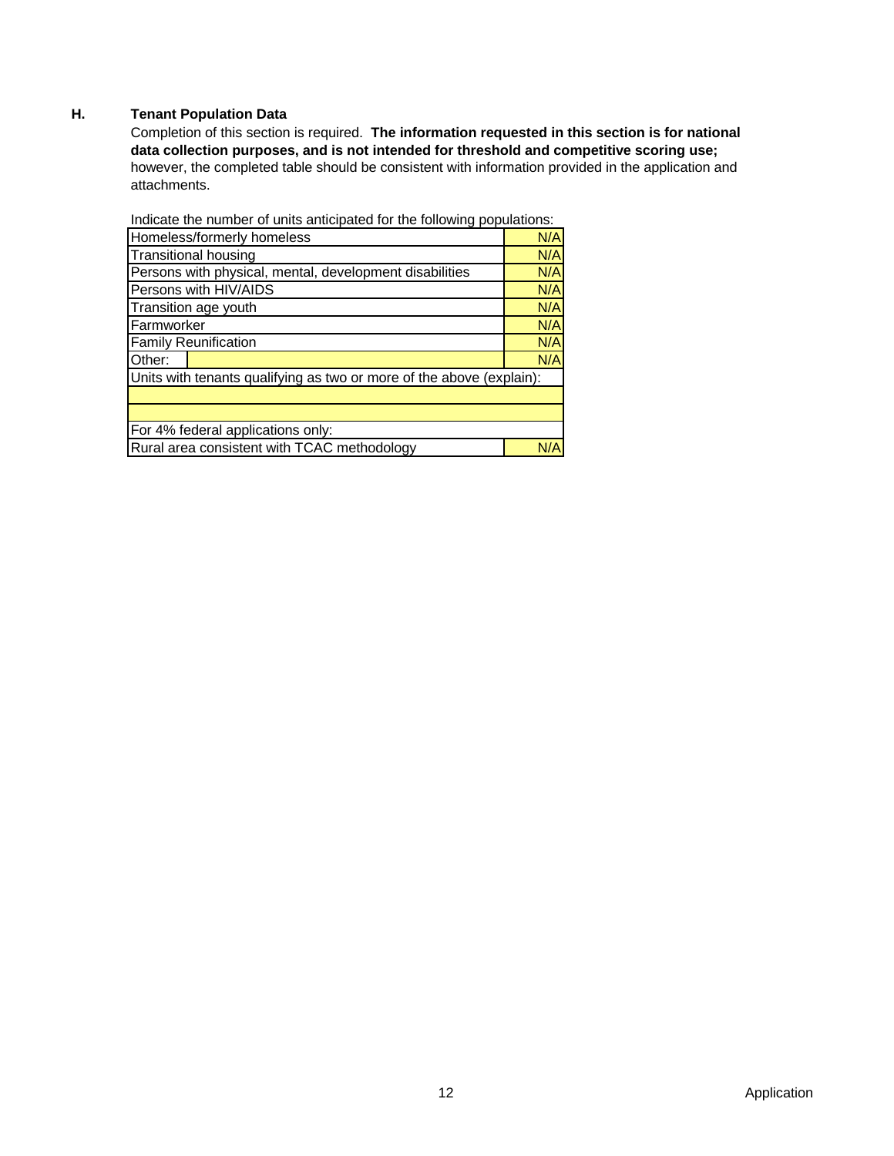# **H. Tenant Population Data**

Completion of this section is required. **The information requested in this section is for national data collection purposes, and is not intended for threshold and competitive scoring use;**  however, the completed table should be consistent with information provided in the application and attachments.

| marcate the number of units anticipated for the following populations. |     |
|------------------------------------------------------------------------|-----|
| Homeless/formerly homeless                                             | N/A |
| <b>Transitional housing</b>                                            | N/A |
| Persons with physical, mental, development disabilities                | N/A |
| Persons with HIV/AIDS                                                  | N/A |
| Transition age youth                                                   | N/A |
| Farmworker                                                             | N/A |
| <b>Family Reunification</b>                                            | N/A |
| Other:                                                                 | N/A |
| Units with tenants qualifying as two or more of the above (explain):   |     |
|                                                                        |     |
|                                                                        |     |
| For 4% federal applications only:                                      |     |
| Rural area consistent with TCAC methodology                            | N/A |

Indicate the number of units anticipated for the following populations: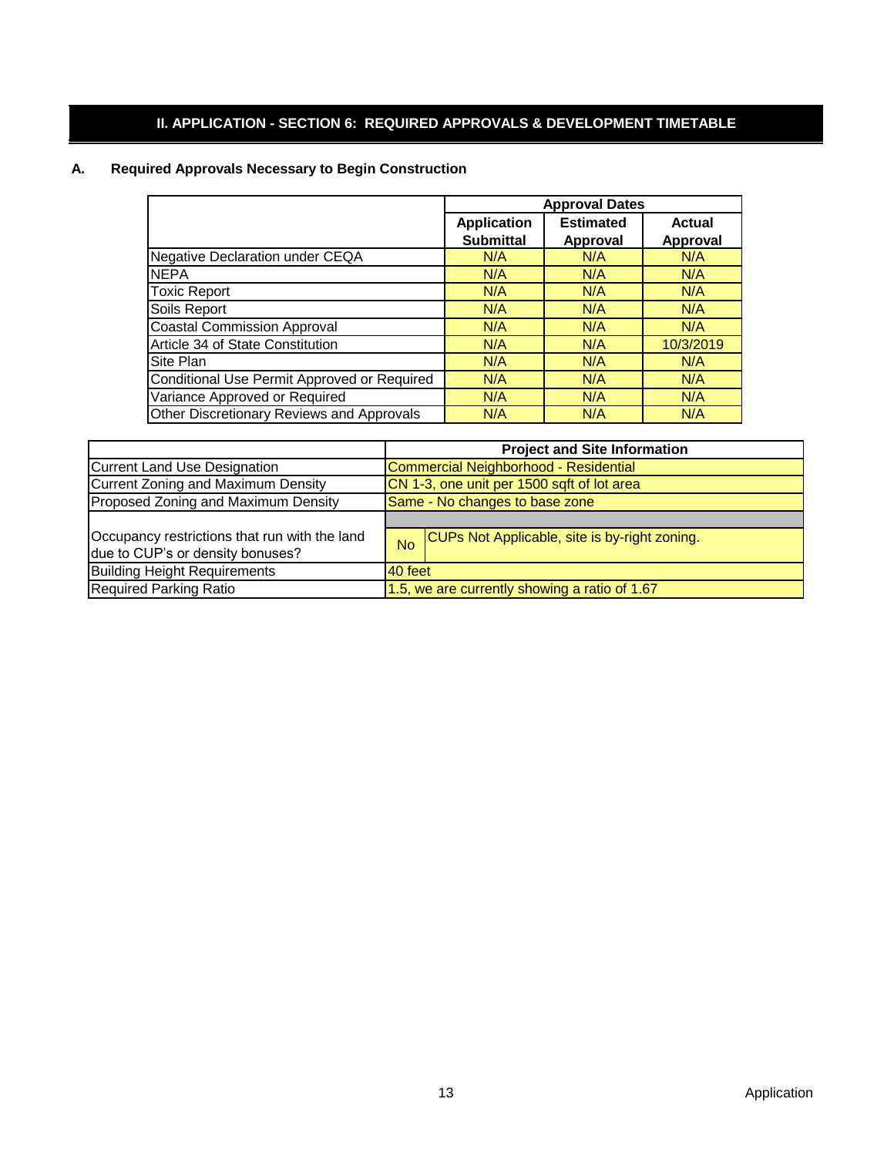# **II. APPLICATION - SECTION 6: REQUIRED APPROVALS & DEVELOPMENT TIMETABLE**

# **A. Required Approvals Necessary to Begin Construction**

|                                             | <b>Approval Dates</b> |                 |                 |  |  |
|---------------------------------------------|-----------------------|-----------------|-----------------|--|--|
|                                             | <b>Application</b>    | <b>Actual</b>   |                 |  |  |
|                                             | <b>Submittal</b>      | <b>Approval</b> | <b>Approval</b> |  |  |
| <b>Negative Declaration under CEQA</b>      | N/A                   | N/A             | N/A             |  |  |
| <b>NEPA</b>                                 | N/A                   | N/A             | N/A             |  |  |
| <b>Toxic Report</b>                         | N/A                   | N/A             | N/A             |  |  |
| Soils Report                                | N/A                   | N/A             | N/A             |  |  |
| <b>Coastal Commission Approval</b>          | N/A                   | N/A             | N/A             |  |  |
| Article 34 of State Constitution            | N/A                   | N/A             | 10/3/2019       |  |  |
| Site Plan                                   | N/A                   | N/A             | N/A             |  |  |
| Conditional Use Permit Approved or Required | N/A                   | N/A             | N/A             |  |  |
| Variance Approved or Required               | N/A                   | N/A             | N/A             |  |  |
| Other Discretionary Reviews and Approvals   | N/A                   | N/A             | N/A             |  |  |

|                                                                                   | <b>Project and Site Information</b>           |                                               |  |  |
|-----------------------------------------------------------------------------------|-----------------------------------------------|-----------------------------------------------|--|--|
| <b>Current Land Use Designation</b>                                               |                                               | Commercial Neighborhood - Residential         |  |  |
| <b>Current Zoning and Maximum Density</b>                                         |                                               | CN 1-3, one unit per 1500 sqft of lot area    |  |  |
| Proposed Zoning and Maximum Density                                               | Same - No changes to base zone                |                                               |  |  |
|                                                                                   |                                               |                                               |  |  |
| Occupancy restrictions that run with the land<br>due to CUP's or density bonuses? | <b>No</b>                                     | CUPs Not Applicable, site is by-right zoning. |  |  |
| <b>Building Height Requirements</b>                                               | 40 feet                                       |                                               |  |  |
| <b>Required Parking Ratio</b>                                                     | 1.5, we are currently showing a ratio of 1.67 |                                               |  |  |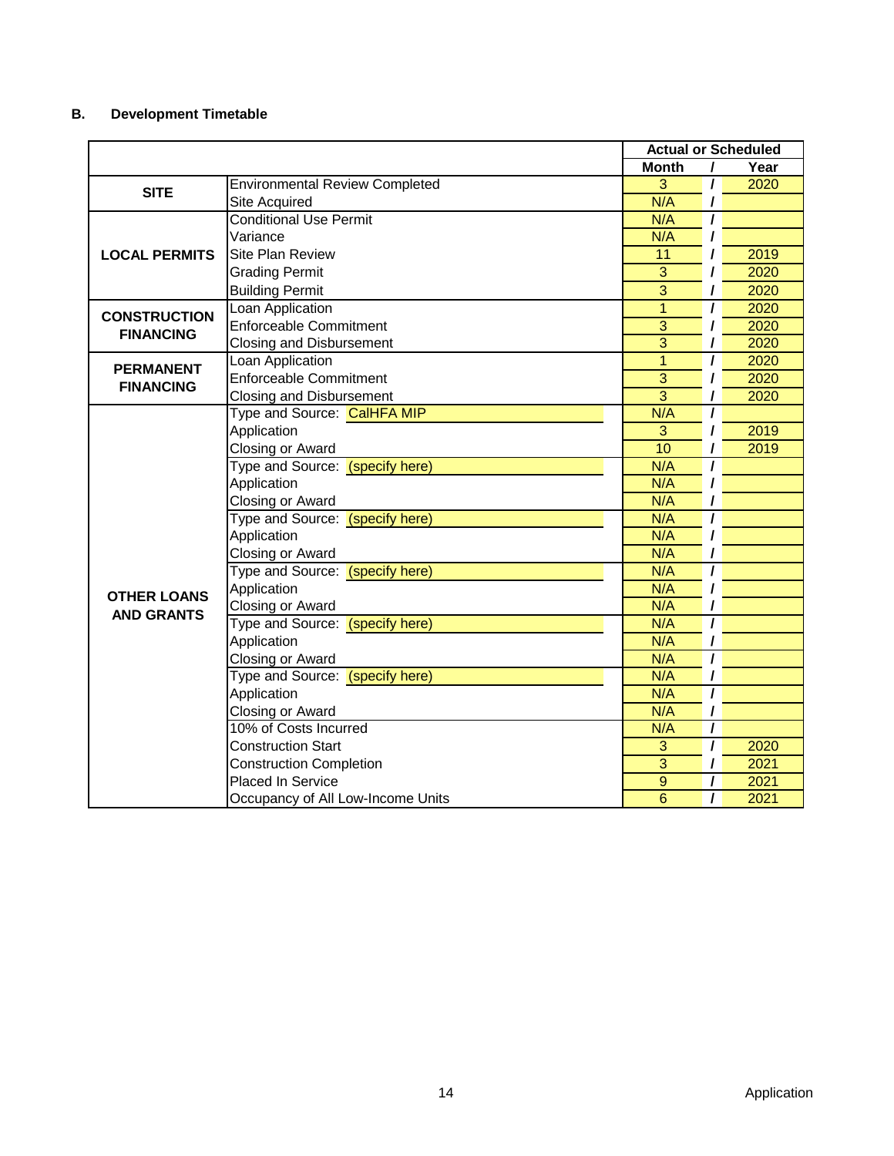# **B. Development Timetable**

|                      |                                       |                |                | <b>Actual or Scheduled</b> |
|----------------------|---------------------------------------|----------------|----------------|----------------------------|
|                      |                                       | <b>Month</b>   | I              | Year                       |
| <b>SITE</b>          | <b>Environmental Review Completed</b> | 3              | I              | 2020                       |
|                      | Site Acquired                         | N/A            |                |                            |
|                      | <b>Conditional Use Permit</b>         | N/A            |                |                            |
|                      | Variance                              | N/A            |                |                            |
| <b>LOCAL PERMITS</b> | <b>Site Plan Review</b>               | 11             |                | 2019                       |
|                      | <b>Grading Permit</b>                 | $\overline{3}$ |                | 2020                       |
|                      | <b>Building Permit</b>                | 3              |                | 2020                       |
| <b>CONSTRUCTION</b>  | Loan Application                      | $\overline{1}$ | I              | 2020                       |
| <b>FINANCING</b>     | <b>Enforceable Commitment</b>         | $\overline{3}$ | I              | 2020                       |
|                      | <b>Closing and Disbursement</b>       | $\overline{3}$ |                | 2020                       |
| <b>PERMANENT</b>     | Loan Application                      | $\overline{1}$ | I              | 2020                       |
| <b>FINANCING</b>     | <b>Enforceable Commitment</b>         | $\overline{3}$ | I              | 2020                       |
|                      | <b>Closing and Disbursement</b>       | $\overline{3}$ | ı              | 2020                       |
|                      | Type and Source: CalHFA MIP           | N/A            | $\prime$       |                            |
|                      | Application                           | 3              |                | 2019                       |
|                      | Closing or Award                      | 10             |                | 2019                       |
|                      | Type and Source: (specify here)       | N/A            | 7              |                            |
|                      | Application                           | N/A            |                |                            |
|                      | Closing or Award                      | N/A            |                |                            |
|                      | Type and Source: (specify here)       | N/A            | I              |                            |
|                      | Application                           | N/A            |                |                            |
|                      | Closing or Award                      | N/A            |                |                            |
|                      | Type and Source: (specify here)       | N/A            | I              |                            |
| <b>OTHER LOANS</b>   | Application                           | N/A            |                |                            |
| <b>AND GRANTS</b>    | Closing or Award                      | N/A            |                |                            |
|                      | Type and Source: (specify here)       | N/A            | I              |                            |
|                      | Application                           | N/A            |                |                            |
|                      | Closing or Award                      | N/A            | $\prime$       |                            |
|                      | Type and Source: (specify here)       | N/A            |                |                            |
|                      | Application                           | N/A            | $\overline{I}$ |                            |
|                      | Closing or Award                      | N/A            | I              |                            |
|                      | 10% of Costs Incurred                 | N/A            | $\prime$       |                            |
|                      | <b>Construction Start</b>             | 3              | $\overline{I}$ | 2020                       |
|                      | <b>Construction Completion</b>        | 3              |                | 2021                       |
|                      | <b>Placed In Service</b>              | 9              |                | 2021                       |
|                      | Occupancy of All Low-Income Units     | 6              |                | 2021                       |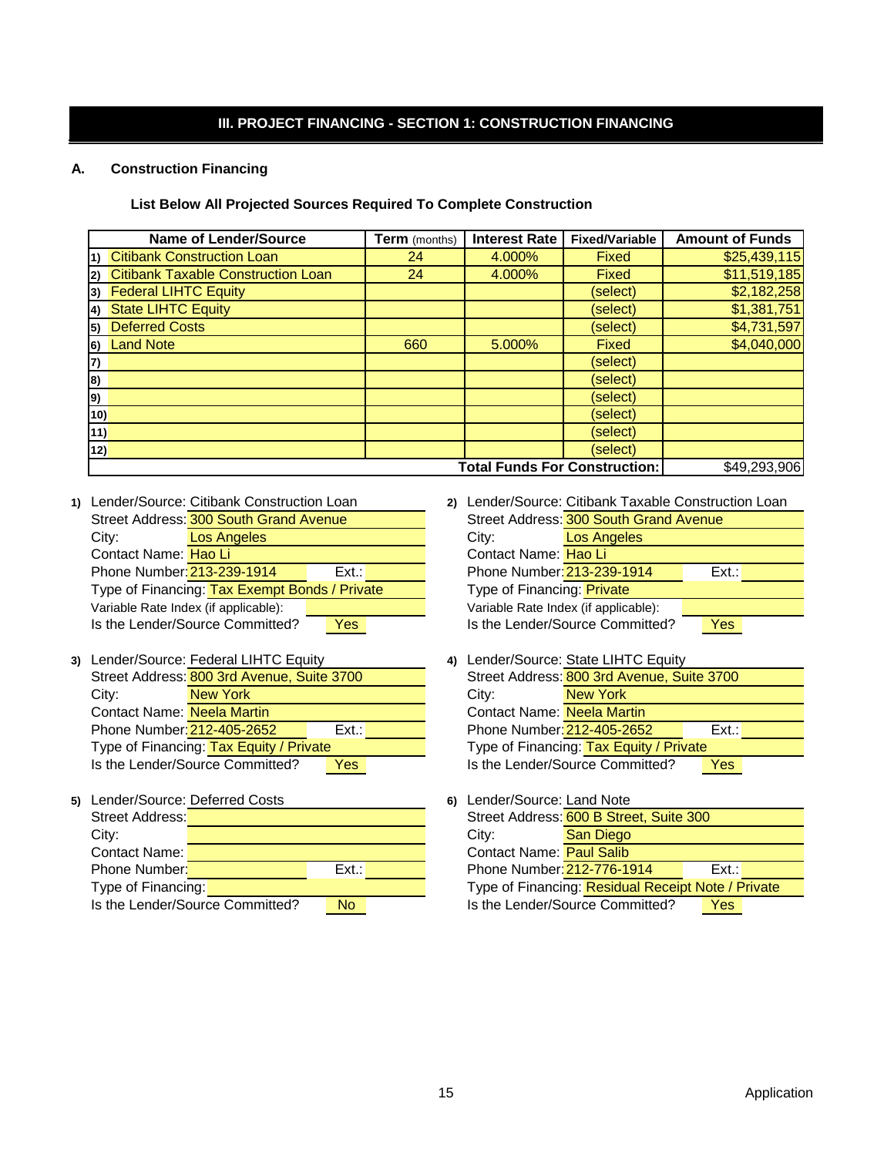# **III. PROJECT FINANCING - SECTION 1: CONSTRUCTION FINANCING**

#### **A. Construction Financing**

#### **List Below All Projected Sources Required To Complete Construction**

|     | <b>Name of Lender/Source</b>                         | <b>Term</b> (months) | <b>Interest Rate</b> | <b>Fixed/Variable</b> | <b>Amount of Funds</b> |  |  |  |  |
|-----|------------------------------------------------------|----------------------|----------------------|-----------------------|------------------------|--|--|--|--|
|     | 1) Citibank Construction Loan                        | 24                   | 4.000%               | Fixed                 | \$25,439,115           |  |  |  |  |
|     | 2) Citibank Taxable Construction Loan                | 24                   | 4.000%               | <b>Fixed</b>          | \$11,519,185           |  |  |  |  |
|     | 3) Federal LIHTC Equity                              |                      |                      | (select)              | \$2,182,258            |  |  |  |  |
|     | 4) State LIHTC Equity                                |                      |                      | (select)              | \$1,381,751            |  |  |  |  |
|     | 5) Deferred Costs                                    |                      |                      | (select)              | \$4,731,597            |  |  |  |  |
|     | 6) Land Note                                         | 660                  | 5.000%               | <b>Fixed</b>          | \$4,040,000            |  |  |  |  |
| 7)  |                                                      |                      |                      | (select)              |                        |  |  |  |  |
| 8)  |                                                      |                      |                      | (select)              |                        |  |  |  |  |
| 9)  |                                                      |                      |                      | (select)              |                        |  |  |  |  |
| 10) |                                                      |                      |                      | (select)              |                        |  |  |  |  |
| 11) |                                                      |                      |                      | (select)              |                        |  |  |  |  |
| 12) |                                                      |                      |                      | (select)              |                        |  |  |  |  |
|     | \$49,293,906<br><b>Total Funds For Construction:</b> |                      |                      |                       |                        |  |  |  |  |

**1)** Lender/Source: **2)** Lender/Source: Citibank Construction Loan Street Address: 300 South Grand Avenue **Street Address:** Street Address: City: City: Los Angeles Contact Name: Hao Linde and Contact Name: Contact Name: Phone Number: Ext.: Phone Number: Ext.: 213-239-1914 Type of Financing: Tax Exempt Bonds / Private Trandictus Type of Financing: Variable Rate Index (if applicable): Variable Rate Index (if applicable): Is the Lender/Source Committed? **Yes** Phone Number: 213-239-1914

|                                   | 3) Lender/Source: Federal LIHTC Equity     |      | 4) |                                   | Lender/Source: State LIHTC Equity          |     |
|-----------------------------------|--------------------------------------------|------|----|-----------------------------------|--------------------------------------------|-----|
|                                   | Street Address: 800 3rd Avenue, Suite 3700 |      |    |                                   | Street Address: 800 3rd Avenue, Suite 3700 |     |
| City:                             | New York                                   |      |    | City:                             | New York                                   |     |
| <b>Contact Name:</b> Neela Martin |                                            |      |    | <b>Contact Name:</b> Neela Martin |                                            |     |
| Phone Number: 212-405-2652        |                                            | Ext: |    | Phone Number: 212-405-2652        |                                            | Fxt |
|                                   | Type of Financing: Tax Equity / Private    |      |    |                                   | Type of Financing: Tax Equity / Private    |     |
|                                   | Is the Lender/Source Committed?            | Yes  |    |                                   | Is the Lender/Source Committed?            | Yes |

| 5) Lender/Source: Deferred Costs |                                 |           | 6) | Lender/Source: Land Note        |                                            |      |
|----------------------------------|---------------------------------|-----------|----|---------------------------------|--------------------------------------------|------|
| Street Address:                  |                                 |           |    |                                 | Street Address: 600 B Street, Suite 300    |      |
| City:                            |                                 |           |    | City:                           | <b>San Diego</b>                           |      |
| Contact Name:                    |                                 |           |    | <b>Contact Name:</b> Paul Salib |                                            |      |
| <b>Phone Number:</b>             |                                 | Ext.      |    | Phone Number: 212-776-1914      |                                            | Ext. |
| Type of Financing:               |                                 |           |    |                                 | Type of Financing: Residual Receipt Note / |      |
|                                  | Is the Lender/Source Committed? | <b>No</b> |    |                                 | Is the Lender/Source Committed?            | Yes  |

Is the Lender/Source Committed? Yes Contact Name: Hao Li Los Angeles Type of Financing: Private 2) Lender/Source: Citibank Taxable Construction Loan Street Address: 300 South Grand Avenue

Is the Lender/Source Committed? New York Yes

| City:                                              | San Diego |                                                                                                                              |                                         |  |  |
|----------------------------------------------------|-----------|------------------------------------------------------------------------------------------------------------------------------|-----------------------------------------|--|--|
|                                                    |           |                                                                                                                              |                                         |  |  |
|                                                    |           | Ext:                                                                                                                         |                                         |  |  |
| Type of Financing: Residual Receipt Note / Private |           |                                                                                                                              |                                         |  |  |
|                                                    | Yes       |                                                                                                                              |                                         |  |  |
|                                                    |           | Lender/Source: Land Note<br><b>Contact Name: Paul Salib</b><br>Phone Number: 212-776-1914<br>Is the Lender/Source Committed? | Street Address: 600 B Street, Suite 300 |  |  |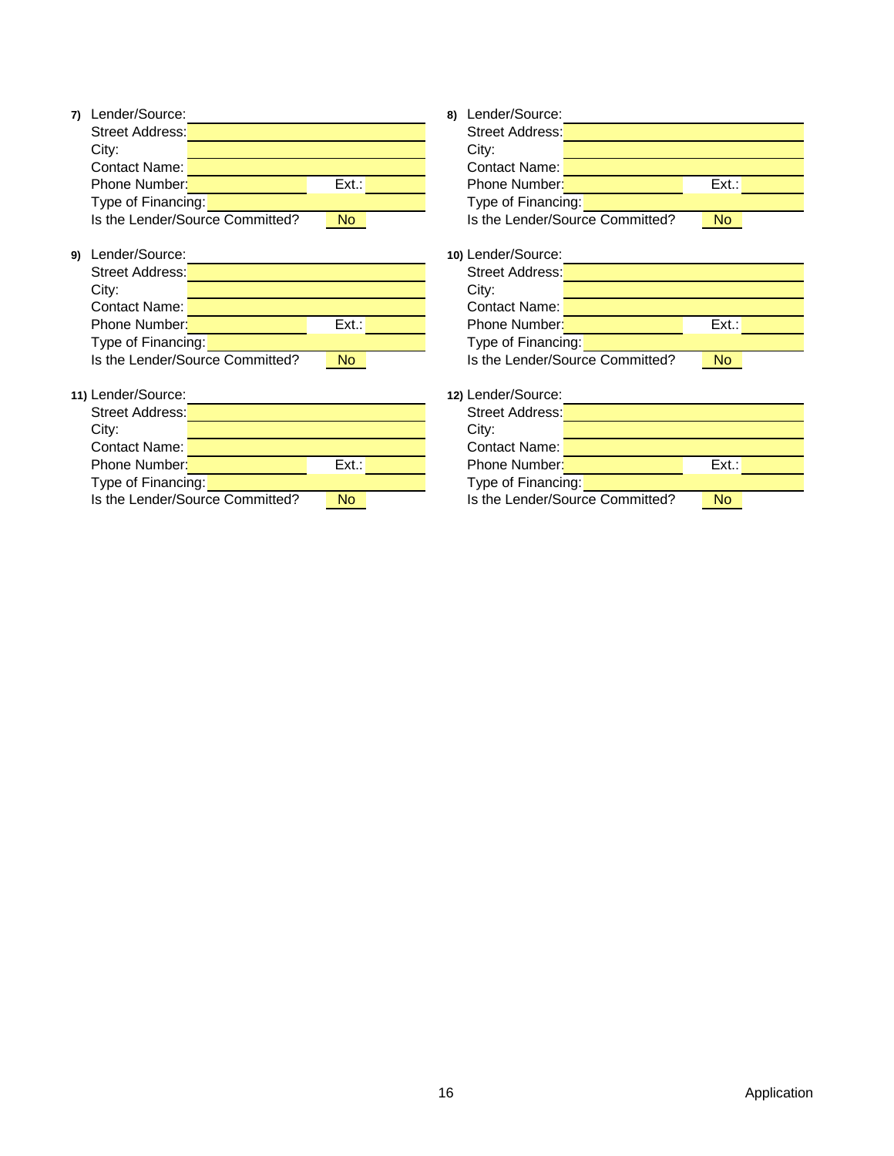| 7) Lender/Source:  |                                 |           | Lender/Source:<br>8) |                                 |       |
|--------------------|---------------------------------|-----------|----------------------|---------------------------------|-------|
| Street Address:    |                                 |           | Street Address:      |                                 |       |
| City:              |                                 |           | City:                |                                 |       |
| Contact Name:      |                                 |           | Contact Name:        |                                 |       |
| Phone Number:      |                                 | Ext.:     | Phone Number:        |                                 | Ext.: |
| Type of Financing: |                                 |           | Type of Financing:   |                                 |       |
|                    | Is the Lender/Source Committed? | <b>No</b> |                      | Is the Lender/Source Committed? | No.   |

**9)** Lender/Source: **10)** Lender/Source: Street Address:

| Priorie Number.      |                                 | EXL.           | Priorie Number:                 | EXI       |
|----------------------|---------------------------------|----------------|---------------------------------|-----------|
| Type of Financing:   |                                 |                | Type of Financing:              |           |
|                      | Is the Lender/Source Committed? | N <sub>o</sub> | Is the Lender/Source Committed? | <b>No</b> |
|                      |                                 |                |                                 |           |
| Lender/Source:       |                                 |                | 10) Lender/Source:              |           |
| Street Address:      |                                 |                | Street Address:                 |           |
| City:                |                                 |                | City:                           |           |
| <b>Contact Name:</b> |                                 |                | <b>Contact Name:</b>            |           |
| Phone Number:        |                                 | $Ext.$ :       | Phone Number:                   | Ext       |
| Type of Financing:   |                                 |                | Type of Financing:              |           |
|                      | Is the Lender/Source Committed? | <b>No</b>      | Is the Lender/Source Committed? | <b>No</b> |
|                      |                                 |                |                                 |           |
| Lender/Source:       |                                 |                | 12) Lender/Source:              |           |
| Street Address:      |                                 |                | Street Address:                 |           |

**7)** Lender/Source: **8)** Lender/Source:

| 11) Lender/Source: |                                 |           | 12) Lender/Source: |                                 |       |
|--------------------|---------------------------------|-----------|--------------------|---------------------------------|-------|
| Street Address:    |                                 |           | Street Address:    |                                 |       |
| City:              |                                 |           | City:              |                                 |       |
| Contact Name:      |                                 |           | Contact Name:      |                                 |       |
| Phone Number:      |                                 | Ext.:     | Phone Number:      |                                 | Ext.: |
| Type of Financing: |                                 |           | Type of Financing: |                                 |       |
|                    | Is the Lender/Source Committed? | <b>No</b> |                    | Is the Lender/Source Committed? | No.   |

| ovinuvi i varilo.  |                                 |      |  |
|--------------------|---------------------------------|------|--|
| Phone Number:      |                                 | Ext. |  |
| Type of Financing: |                                 |      |  |
|                    | Is the Lender/Source Committed? | N٥   |  |
|                    |                                 |      |  |
| 12) Lender/Source: |                                 |      |  |
| Street Address:    |                                 |      |  |
| City:              |                                 |      |  |
| Contact Name:      |                                 |      |  |
| Phone Number:      |                                 | Ext. |  |
| Type of Financing: |                                 |      |  |
|                    | Is the Lender/Source Committed? |      |  |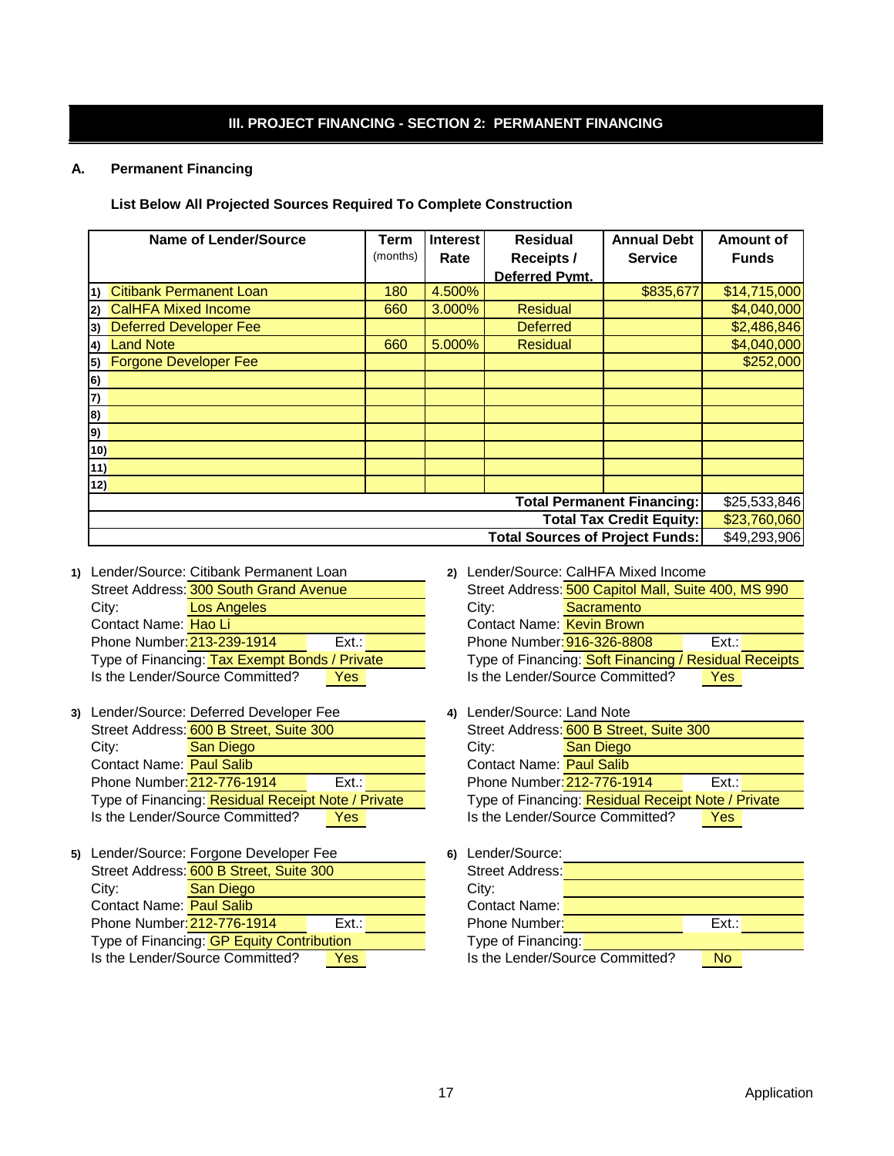# **III. PROJECT FINANCING - SECTION 2: PERMANENT FINANCING**

#### **A. Permanent Financing**

**List Below All Projected Sources Required To Complete Construction**

|                                                        | <b>Name of Lender/Source</b>   | <b>Term</b> | <b>Interest</b> | <b>Residual</b>   | <b>Annual Debt</b>              | <b>Amount of</b> |  |  |
|--------------------------------------------------------|--------------------------------|-------------|-----------------|-------------------|---------------------------------|------------------|--|--|
|                                                        |                                | (months)    | Rate            | <b>Receipts /</b> | <b>Service</b>                  | <b>Funds</b>     |  |  |
|                                                        |                                |             |                 | Deferred Pymt.    |                                 |                  |  |  |
| $\left( \mathbf{1}\right)$                             | <b>Citibank Permanent Loan</b> | 180         | 4.500%          |                   | \$835,677                       | \$14,715,000     |  |  |
| 2)                                                     | <b>CalHFA Mixed Income</b>     | 660         | 3.000%          | <b>Residual</b>   |                                 | \$4,040,000      |  |  |
| 3)                                                     | <b>Deferred Developer Fee</b>  |             |                 | <b>Deferred</b>   |                                 | \$2,486,846      |  |  |
| 4)                                                     | <b>Land Note</b>               | 660         | 5.000%          | <b>Residual</b>   |                                 | \$4,040,000      |  |  |
|                                                        | 5) Forgone Developer Fee       |             |                 |                   |                                 | \$252,000        |  |  |
| 6)                                                     |                                |             |                 |                   |                                 |                  |  |  |
| 7)                                                     |                                |             |                 |                   |                                 |                  |  |  |
| 8)                                                     |                                |             |                 |                   |                                 |                  |  |  |
| 9)                                                     |                                |             |                 |                   |                                 |                  |  |  |
| 10)                                                    |                                |             |                 |                   |                                 |                  |  |  |
| 11)                                                    |                                |             |                 |                   |                                 |                  |  |  |
| 12)                                                    |                                |             |                 |                   |                                 |                  |  |  |
| <b>Total Permanent Financing:</b><br>\$25,533,846      |                                |             |                 |                   |                                 |                  |  |  |
|                                                        |                                |             |                 |                   | <b>Total Tax Credit Equity:</b> | \$23,760,060     |  |  |
| <b>Total Sources of Project Funds:</b><br>\$49,293,906 |                                |             |                 |                   |                                 |                  |  |  |

**1)** Lender/Source: **2)** Lender/Source: Citibank Permanent Loan Street Address: 300 South Grand Avenue **Street Address:** Street Address: City: **Los Angeles Community:** City: Contact Name: Hao Li Phone Number: 213-239-1914 Ext.: Phone Number: 916-326-8808 Ext.: Is the Lender/Source Committed? Yes Hao Li **Kevin Brown Brown Brown Brown** Brown Brown Brown Brown Brown Brown Brown Brown

|                                 | 3) Lender/Source: Deferred Developer Fee           |            |  | 4) Lender/Source: Land Note     |                                              |      |
|---------------------------------|----------------------------------------------------|------------|--|---------------------------------|----------------------------------------------|------|
|                                 | Street Address: 600 B Street, Suite 300            |            |  |                                 | Street Address: 600 B Street, Suite 300      |      |
| City:                           | <b>San Diego</b>                                   |            |  | City:                           | <b>San Diego</b>                             |      |
| <b>Contact Name:</b> Paul Salib |                                                    |            |  | <b>Contact Name:</b> Paul Salib |                                              |      |
| Phone Number: 212-776-1914      |                                                    | Ext.       |  | Phone Number: 212-776-1914      |                                              | Ext. |
|                                 | Type of Financing: Residual Receipt Note / Private |            |  |                                 | Type of Financing: Residual Receipt Note / I |      |
|                                 | Is the Lender/Source Committed?                    | <b>Yes</b> |  |                                 | Is the Lender/Source Committed?              | Yes  |

|                                 | 5) Lender/Source: Forgone Developer Fee   |       | Lender/Source:<br>6) |                                 |       |
|---------------------------------|-------------------------------------------|-------|----------------------|---------------------------------|-------|
|                                 | Street Address: 600 B Street, Suite 300   |       | Street Address:      |                                 |       |
| City:                           | <b>San Diego</b>                          |       | City:                |                                 |       |
| <b>Contact Name:</b> Paul Salib |                                           |       | Contact Name:        |                                 |       |
| Phone Number: 212-776-1914      |                                           | Ext.: | <b>Phone Number:</b> |                                 | Ext.: |
|                                 | Type of Financing: GP Equity Contribution |       | Type of Financing:   |                                 |       |
|                                 | Is the Lender/Source Committed?           | Yes   |                      | Is the Lender/Source Committed? | No.   |

2) Lender/Source: CalHFA Mixed Income

|                            | Street Address: 300 South Grand Avenue        |            |                                  | Street Address: 500 Capitol Mall, Suite 400, MS 990   |            |  |
|----------------------------|-----------------------------------------------|------------|----------------------------------|-------------------------------------------------------|------------|--|
| City:                      | Los Angeles                                   |            | City:                            | Sacramento                                            |            |  |
| Contact Name: Hao Li       |                                               |            | <b>Contact Name:</b> Kevin Brown |                                                       |            |  |
| Phone Number: 213-239-1914 |                                               | Ext:       | Phone Number: 916-326-8808       |                                                       | Ext.:      |  |
|                            | Type of Financing: Tax Exempt Bonds / Private |            |                                  | Type of Financing: Soft Financing / Residual Receipts |            |  |
|                            | Is the Lender/Source Committed?               | <b>Yes</b> |                                  | Is the Lender/Source Committed?                       | <b>Yes</b> |  |
|                            |                                               |            |                                  |                                                       |            |  |

| 4) |                                 | Lender/Source: Land Note                           |      |  |  |  |
|----|---------------------------------|----------------------------------------------------|------|--|--|--|
|    |                                 | Street Address: 600 B Street, Suite 300            |      |  |  |  |
|    | City:                           | San Diego                                          |      |  |  |  |
|    | <b>Contact Name:</b> Paul Salib |                                                    |      |  |  |  |
|    | Phone Number: 212-776-1914      |                                                    | Ext. |  |  |  |
|    |                                 | Type of Financing: Residual Receipt Note / Private |      |  |  |  |
|    |                                 | Is the Lender/Source Committed?                    | Yes  |  |  |  |

| 6) | Lender/Source:     |                                 |      |  |
|----|--------------------|---------------------------------|------|--|
|    | Street Address:    |                                 |      |  |
|    | City:              |                                 |      |  |
|    | Contact Name:      |                                 |      |  |
|    | Phone Number:      |                                 | Ext. |  |
|    | Type of Financing: |                                 |      |  |
|    |                    | Is the Lender/Source Committed? |      |  |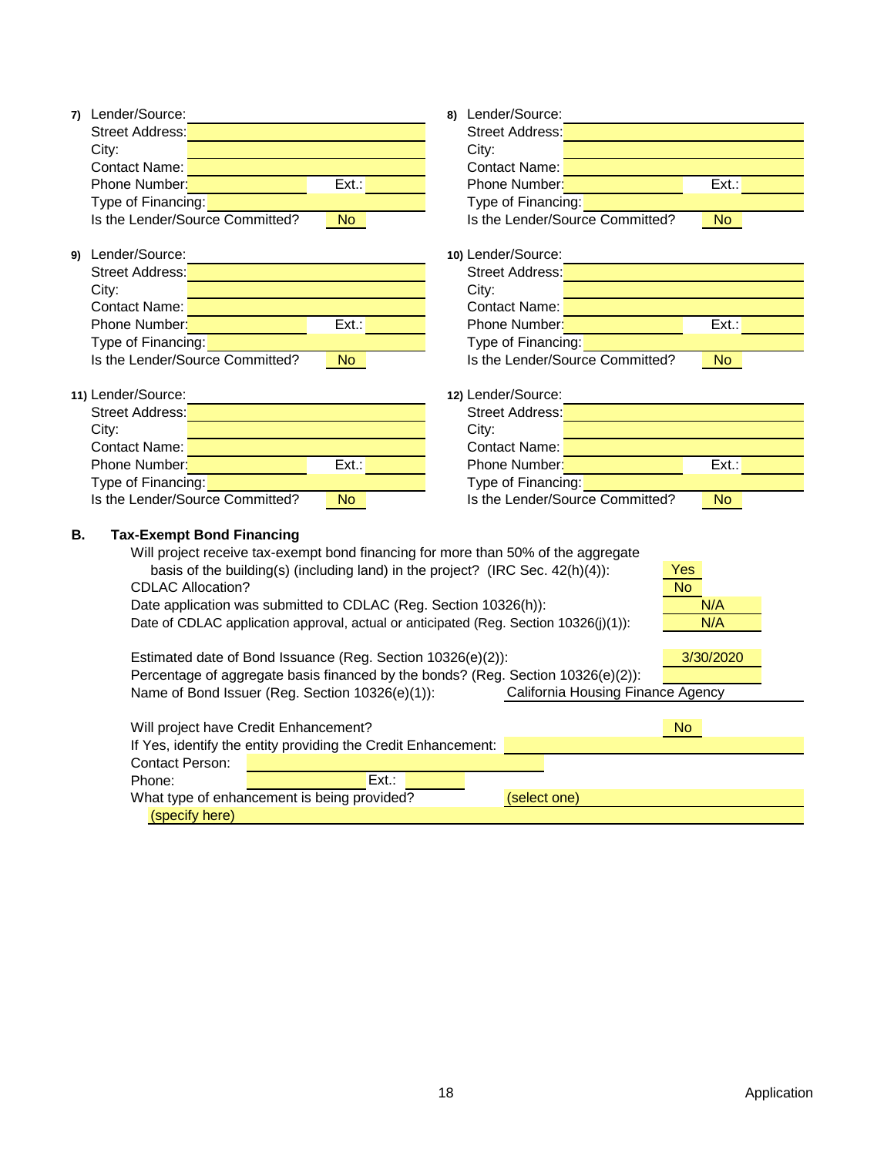| 7) Lender/Source:                                                                     | 8) Lender/Source:                            |
|---------------------------------------------------------------------------------------|----------------------------------------------|
| <b>Street Address:</b>                                                                | <b>Street Address:</b>                       |
| City:                                                                                 | City:                                        |
| <b>Contact Name:</b>                                                                  | <b>Contact Name:</b>                         |
| $\overline{Ext}$ .:<br>Phone Number:                                                  | Phone Number:<br>Ext.:                       |
| Type of Financing:                                                                    | Type of Financing:                           |
| Is the Lender/Source Committed?<br>No                                                 | Is the Lender/Source Committed?<br><b>No</b> |
| 9) Lender/Source:                                                                     | 10) Lender/Source:                           |
| Street Address:                                                                       | Street Address:                              |
| City:                                                                                 | City:                                        |
| Contact Name:                                                                         | Contact Name:                                |
| Phone Number:<br>Ext.:                                                                | Phone Number:<br>Ext.:                       |
| Type of Financing:                                                                    | Type of Financing:                           |
| Is the Lender/Source Committed?<br><b>No</b>                                          | Is the Lender/Source Committed?<br><b>No</b> |
| 11) Lender/Source:                                                                    | 12) Lender/Source:                           |
| Street Address:                                                                       | Street Address:                              |
| City:                                                                                 | City:                                        |
| Contact Name:                                                                         | Contact Name:                                |
| $\overline{\mathsf{Ext}}$ .:<br>Phone Number:                                         | $\overline{Ext}$ .:<br>Phone Number:         |
| Type of Financing:                                                                    | Type of Financing:                           |
| Is the Lender/Source Committed?<br>No                                                 | Is the Lender/Source Committed?<br><b>No</b> |
| <b>B.</b><br><b>Tax-Exempt Bond Financing</b>                                         |                                              |
| Will project receive tax-exempt bond financing for more than 50% of the aggregate     |                                              |
| basis of the building(s) (including land) in the project? (IRC Sec. 42(h)(4)):        | <b>Yes</b>                                   |
| <b>CDLAC Allocation?</b>                                                              | $\overline{No}$                              |
| Date application was submitted to CDLAC (Reg. Section 10326(h)):                      | N/A                                          |
| Date of CDLAC application approval, actual or anticipated (Reg. Section 10326(j)(1)): | N/A                                          |
| Estimated date of Bond Issuance (Reg. Section 10326(e)(2)):                           | 3/30/2020                                    |
| Percentage of aggregate basis financed by the bonds? (Reg. Section 10326(e)(2)):      |                                              |
| Name of Bond Issuer (Reg. Section 10326(e)(1)):                                       | California Housing Finance Agency            |
| Will project have Credit Enhancement?                                                 | No                                           |
| If Yes, identify the entity providing the Credit Enhancement:                         |                                              |
| <b>Contact Person:</b>                                                                |                                              |
| Ext.:<br>Phone:                                                                       |                                              |
| What type of enhancement is being provided?                                           | (select one)                                 |
| (specify here)                                                                        |                                              |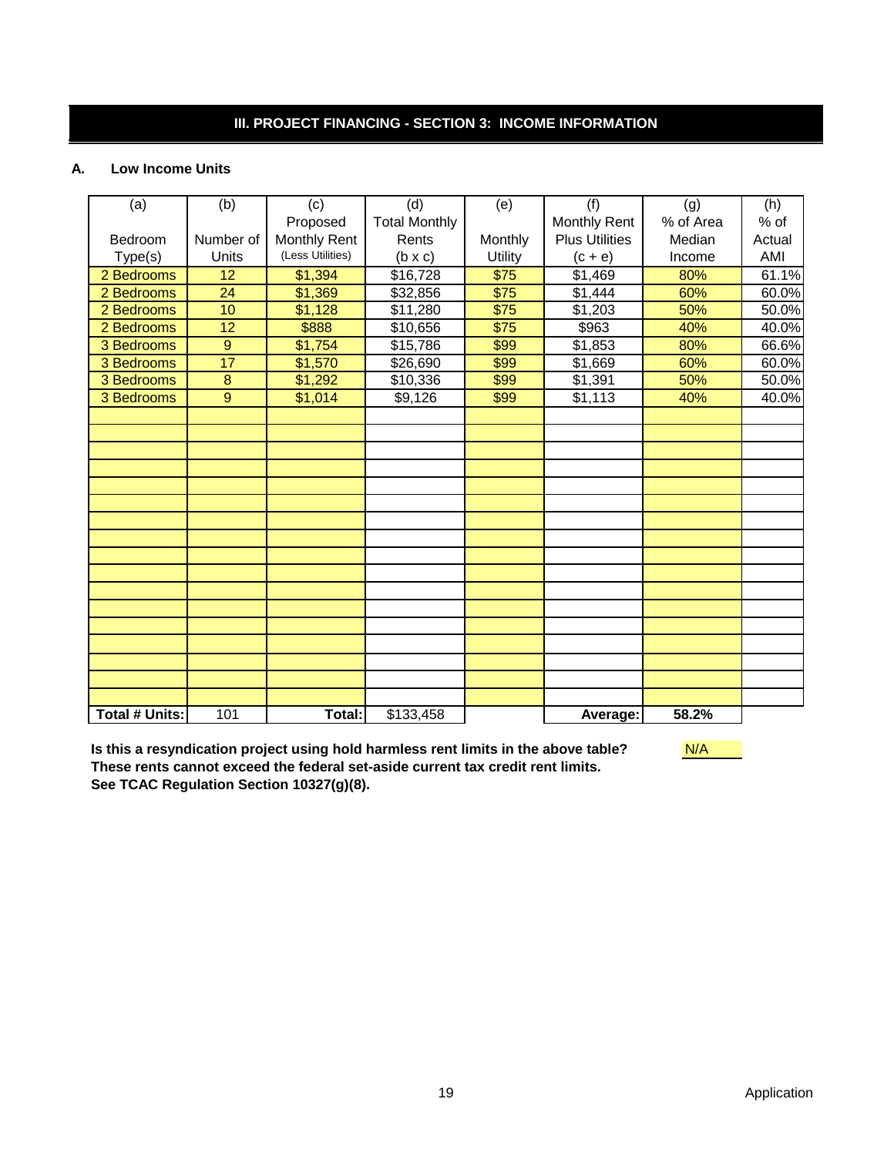# **III. PROJECT FINANCING - SECTION 3: INCOME INFORMATION**

#### **A. Low Income Units**

| (a)                   | (b)       | (c)              | (d)                  | (e)          | (f)                   | (g)       | (h)    |
|-----------------------|-----------|------------------|----------------------|--------------|-----------------------|-----------|--------|
|                       |           | Proposed         | <b>Total Monthly</b> |              | Monthly Rent          | % of Area | % of   |
| Bedroom               | Number of | Monthly Rent     | Rents                | Monthly      | <b>Plus Utilities</b> | Median    | Actual |
| Type(s)               | Units     | (Less Utilities) | $(b \times c)$       | Utility      | $(c + e)$             | Income    | AMI    |
| 2 Bedrooms            | 12        | \$1,394          | \$16,728             | \$75         | \$1,469               | 80%       | 61.1%  |
| 2 Bedrooms            | 24        | \$1,369          | \$32,856             | $\sqrt{$75}$ | \$1,444               | 60%       | 60.0%  |
| 2 Bedrooms            | 10        | \$1,128          | \$11,280             | \$75         | \$1,203               | 50%       | 50.0%  |
| 2 Bedrooms            | 12        | \$888            | \$10,656             | $\sqrt{$75}$ | \$963                 | 40%       | 40.0%  |
| 3 Bedrooms            | 9         | \$1,754          | \$15,786             | \$99         | \$1,853               | 80%       | 66.6%  |
| 3 Bedrooms            | 17        | \$1,570          | \$26,690             | \$99         | \$1,669               | 60%       | 60.0%  |
| 3 Bedrooms            | $\bf 8$   | \$1,292          | \$10,336             | \$99         | \$1,391               | 50%       | 50.0%  |
| 3 Bedrooms            | 9         | \$1,014          | \$9,126              | \$99         | \$1,113               | 40%       | 40.0%  |
|                       |           |                  |                      |              |                       |           |        |
|                       |           |                  |                      |              |                       |           |        |
|                       |           |                  |                      |              |                       |           |        |
|                       |           |                  |                      |              |                       |           |        |
|                       |           |                  |                      |              |                       |           |        |
|                       |           |                  |                      |              |                       |           |        |
|                       |           |                  |                      |              |                       |           |        |
|                       |           |                  |                      |              |                       |           |        |
|                       |           |                  |                      |              |                       |           |        |
|                       |           |                  |                      |              |                       |           |        |
|                       |           |                  |                      |              |                       |           |        |
|                       |           |                  |                      |              |                       |           |        |
|                       |           |                  |                      |              |                       |           |        |
|                       |           |                  |                      |              |                       |           |        |
|                       |           |                  |                      |              |                       |           |        |
|                       |           |                  |                      |              |                       |           |        |
|                       |           |                  |                      |              |                       |           |        |
| <b>Total # Units:</b> | 101       | Total:           | \$133,458            |              | Average:              | 58.2%     |        |

**Is this a resyndication project using hold harmless rent limits in the above table? These rents cannot exceed the federal set-aside current tax credit rent limits. See TCAC Regulation Section 10327(g)(8).**

N/A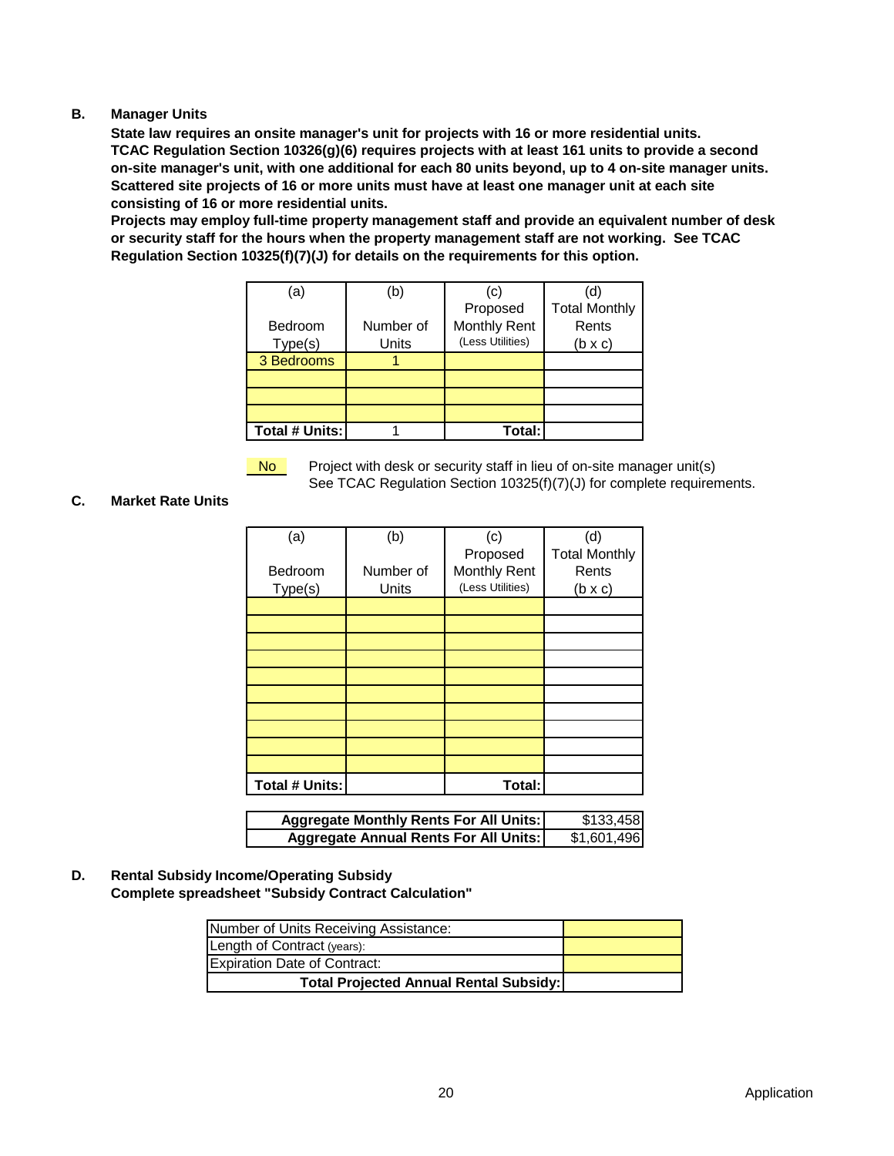#### **B. Manager Units**

**State law requires an onsite manager's unit for projects with 16 or more residential units. TCAC Regulation Section 10326(g)(6) requires projects with at least 161 units to provide a second on-site manager's unit, with one additional for each 80 units beyond, up to 4 on-site manager units. Scattered site projects of 16 or more units must have at least one manager unit at each site consisting of 16 or more residential units.**

**Projects may employ full-time property management staff and provide an equivalent number of desk or security staff for the hours when the property management staff are not working. See TCAC Regulation Section 10325(f)(7)(J) for details on the requirements for this option.**

| (a                    | (b)       | (c)                 |                      |
|-----------------------|-----------|---------------------|----------------------|
|                       |           | Proposed            | <b>Total Monthly</b> |
| Bedroom               | Number of | <b>Monthly Rent</b> | Rents                |
| Type(s)               | Units     | (Less Utilities)    | $(b \times c)$       |
| 3 Bedrooms            |           |                     |                      |
|                       |           |                     |                      |
|                       |           |                     |                      |
|                       |           |                     |                      |
| <b>Total # Units:</b> |           | Total:              |                      |

Project with desk or security staff in lieu of on-site manager unit(s) See TCAC Regulation Section 10325(f)(7)(J) for complete requirements. No

#### **C. Market Rate Units**

| (a)            | (b)       | (c)                 | (d)                  |
|----------------|-----------|---------------------|----------------------|
|                |           | Proposed            | <b>Total Monthly</b> |
| Bedroom        | Number of | <b>Monthly Rent</b> | Rents                |
| Type(s)        | Units     | (Less Utilities)    | $(b \times c)$       |
|                |           |                     |                      |
|                |           |                     |                      |
|                |           |                     |                      |
|                |           |                     |                      |
|                |           |                     |                      |
|                |           |                     |                      |
|                |           |                     |                      |
|                |           |                     |                      |
|                |           |                     |                      |
|                |           |                     |                      |
| Total # Units: |           | Total:              |                      |

| <b>Aggregate Monthly Rents For All Units:</b> | \$133,458   |
|-----------------------------------------------|-------------|
| <b>Aggregate Annual Rents For All Units:</b>  | \$1,601,496 |

**D. Rental Subsidy Income/Operating Subsidy Complete spreadsheet "Subsidy Contract Calculation"**

| Number of Units Receiving Assistance:         |  |
|-----------------------------------------------|--|
| Length of Contract (years):                   |  |
| <b>Expiration Date of Contract:</b>           |  |
| <b>Total Projected Annual Rental Subsidy:</b> |  |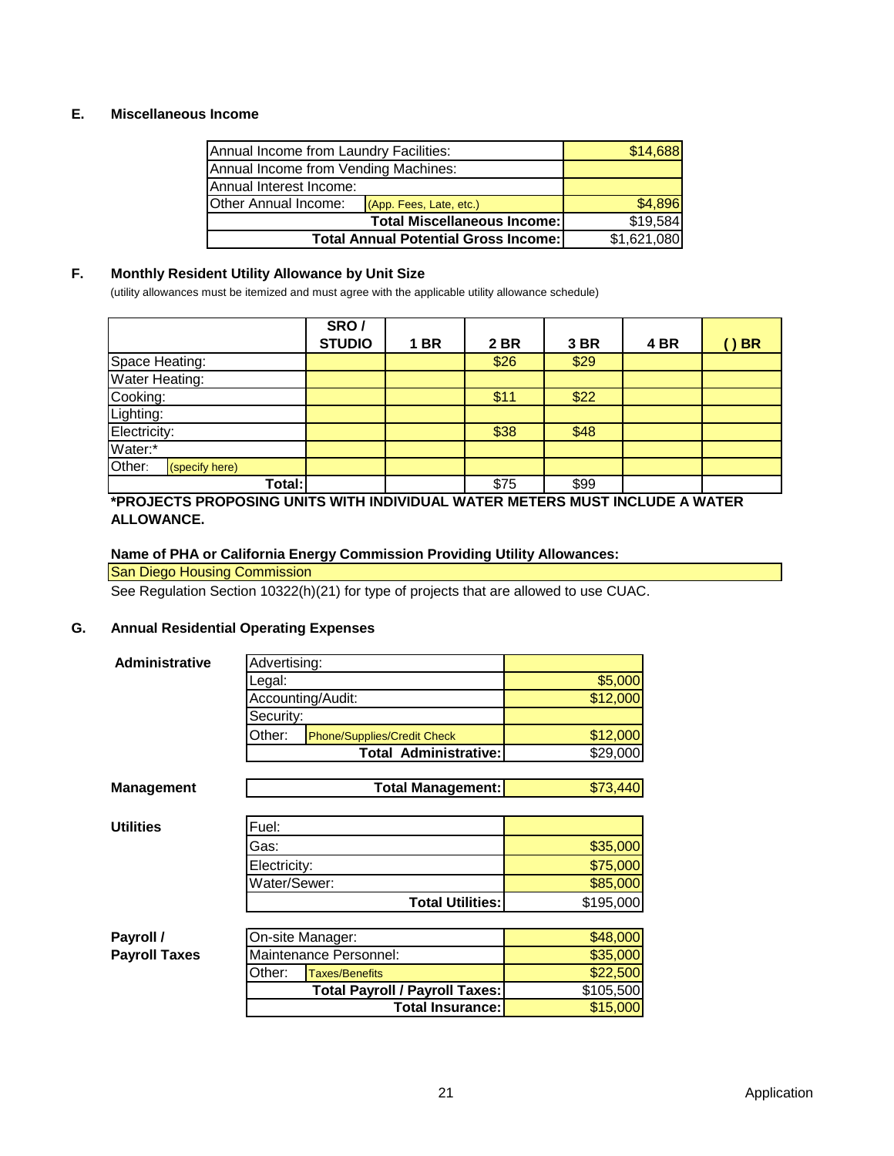# **E. Miscellaneous Income**

| Annual Income from Laundry Facilities:      | \$14,688                                       |  |
|---------------------------------------------|------------------------------------------------|--|
| Annual Income from Vending Machines:        |                                                |  |
| Annual Interest Income:                     |                                                |  |
| Other Annual Income:                        | \$4,896                                        |  |
|                                             | \$19,584<br><b>Total Miscellaneous Income:</b> |  |
| <b>Total Annual Potential Gross Income:</b> | \$1,621,080                                    |  |

# **F. Monthly Resident Utility Allowance by Unit Size**

(utility allowances must be itemized and must agree with the applicable utility allowance schedule)

|                          | SRO/          |                |             |      |      |           |
|--------------------------|---------------|----------------|-------------|------|------|-----------|
|                          | <b>STUDIO</b> | <b>BR</b><br>1 | <b>2 BR</b> | 3 BR | 4 BR | <b>BR</b> |
| Space Heating:           |               |                | \$26        | \$29 |      |           |
| Water Heating:           |               |                |             |      |      |           |
| Cooking:                 |               |                | \$11        | \$22 |      |           |
| Lighting:                |               |                |             |      |      |           |
| Electricity:             |               |                | \$38        | \$48 |      |           |
| Water:*                  |               |                |             |      |      |           |
| Other:<br>(specify here) |               |                |             |      |      |           |
| Total:                   |               |                | \$75        | \$99 |      |           |

#### **\*PROJECTS PROPOSING UNITS WITH INDIVIDUAL WATER METERS MUST INCLUDE A WATER ALLOWANCE.**

### **Name of PHA or California Energy Commission Providing Utility Allowances:**

### San Diego Housing Commission

See Regulation Section 10322(h)(21) for type of projects that are allowed to use CUAC.

# **G. Annual Residential Operating Expenses**

| <b>Administrative</b> | Advertising:                                 |           |
|-----------------------|----------------------------------------------|-----------|
|                       | Legal:                                       | \$5,000   |
|                       | Accounting/Audit:                            | \$12,000  |
|                       | Security:                                    |           |
|                       | Other:<br><b>Phone/Supplies/Credit Check</b> | \$12,000  |
|                       | <b>Total Administrative:</b>                 | \$29,000  |
|                       |                                              |           |
| <b>Management</b>     | <b>Total Management:</b>                     | \$73,440  |
|                       |                                              |           |
| <b>Utilities</b>      | Fuel:                                        |           |
|                       | Gas:                                         | \$35,000  |
|                       | Electricity:                                 | \$75,000  |
|                       | Water/Sewer:                                 | \$85,000  |
|                       | <b>Total Utilities:</b>                      | \$195,000 |
|                       |                                              |           |
| Payroll /             | On-site Manager:                             | \$48,000  |
| <b>Payroll Taxes</b>  | Maintenance Personnel:                       | \$35,000  |
|                       | Other:<br><b>Taxes/Benefits</b>              | \$22,500  |
|                       | <b>Total Payroll / Payroll Taxes:</b>        | \$105,500 |
|                       | <b>Total Insurance:</b>                      | \$15,000  |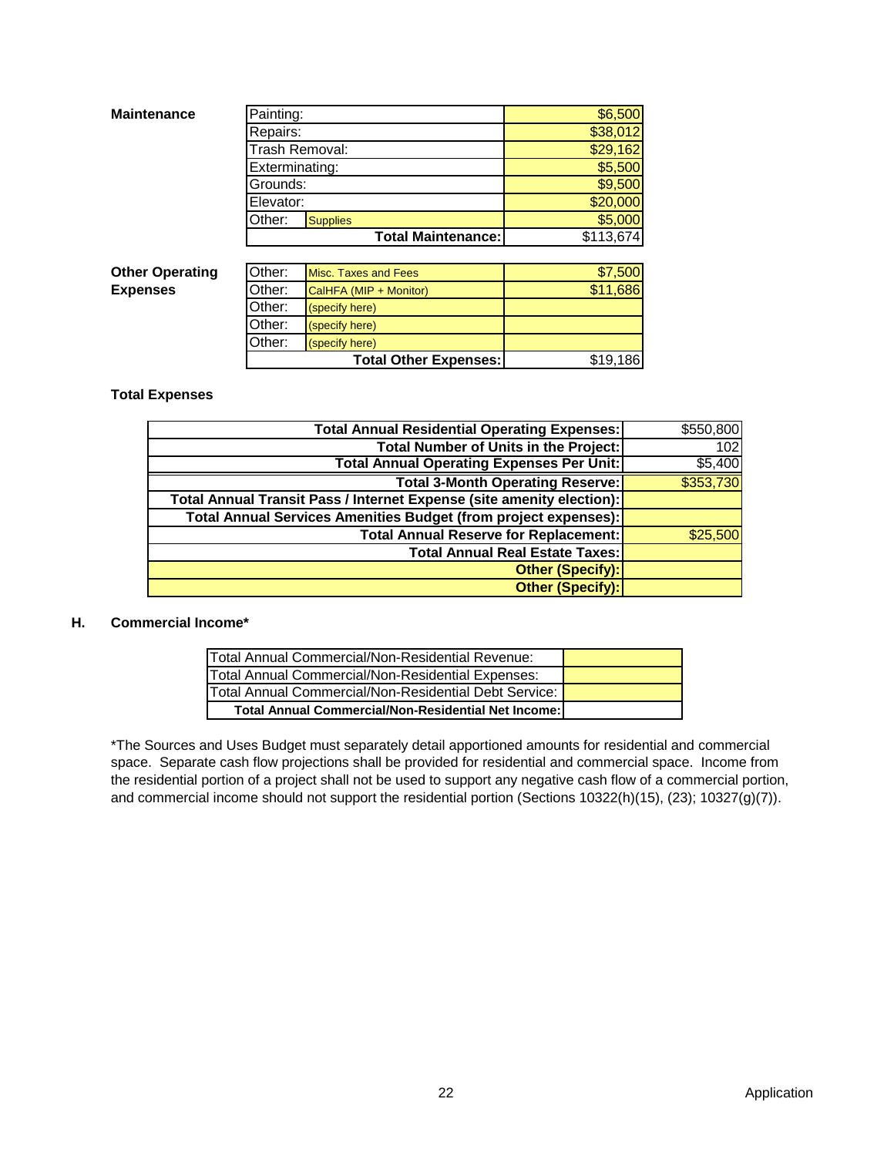| <b>Maintenance</b>     | Painting:      |                             | \$6,500   |
|------------------------|----------------|-----------------------------|-----------|
|                        | Repairs:       |                             | \$38,012  |
|                        |                | Trash Removal:              | \$29,162  |
|                        | Exterminating: |                             | \$5,500   |
|                        | Grounds:       |                             | \$9,500   |
|                        | Elevator:      |                             | \$20,000  |
|                        | Other:         | <b>Supplies</b>             | \$5,000   |
|                        |                | <b>Total Maintenance:</b>   | \$113,674 |
|                        |                |                             |           |
| <b>Other Operating</b> | Other:         | <b>Misc. Taxes and Fees</b> | \$7,500   |
| <b>Expenses</b>        | Other:         | CalHFA (MIP + Monitor)      | \$11,686  |

| <b>-------</b> | 1000. TUACO UNU TUCO         | <u>wiwy</u> |
|----------------|------------------------------|-------------|
| Other:         | CalHFA (MIP + Monitor)       | \$11,686    |
| Other:         | (specify here)               |             |
| Other:         | (specify here)               |             |
| Other:         | (specify here)               |             |
|                | <b>Total Other Expenses:</b> | \$19,186    |

#### **Total Expenses**

| <b>Total Annual Residential Operating Expenses:</b>                   | \$550,800 |
|-----------------------------------------------------------------------|-----------|
| <b>Total Number of Units in the Project:</b>                          | 102       |
| <b>Total Annual Operating Expenses Per Unit:</b>                      | \$5,400   |
| <b>Total 3-Month Operating Reserve:</b>                               | \$353,730 |
| Total Annual Transit Pass / Internet Expense (site amenity election): |           |
| Total Annual Services Amenities Budget (from project expenses):       |           |
| <b>Total Annual Reserve for Replacement:</b>                          | \$25,500  |
| <b>Total Annual Real Estate Taxes:</b>                                |           |
| Other (Specify):                                                      |           |
| Other (Specify):                                                      |           |

### **H. Commercial Income\***

| Total Annual Commercial/Non-Residential Revenue:           |  |
|------------------------------------------------------------|--|
| Total Annual Commercial/Non-Residential Expenses:          |  |
| Total Annual Commercial/Non-Residential Debt Service:      |  |
| <b>Total Annual Commercial/Non-Residential Net Income:</b> |  |

\*The Sources and Uses Budget must separately detail apportioned amounts for residential and commercial space. Separate cash flow projections shall be provided for residential and commercial space. Income from the residential portion of a project shall not be used to support any negative cash flow of a commercial portion, and commercial income should not support the residential portion (Sections 10322(h)(15), (23); 10327(g)(7)).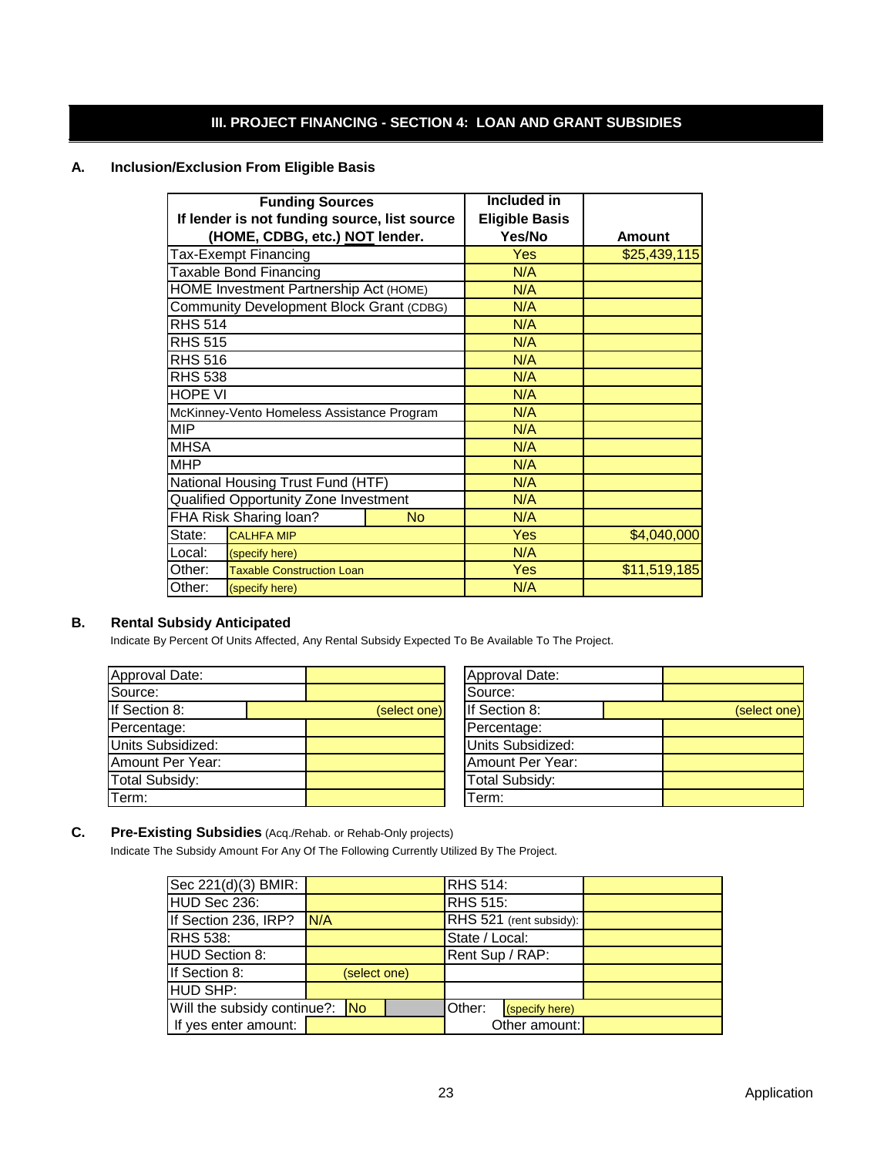# **III. PROJECT FINANCING - SECTION 4: LOAN AND GRANT SUBSIDIES**

#### **A. Inclusion/Exclusion From Eligible Basis**

| <b>Funding Sources</b>                          |  | <b>Included in</b>    |               |
|-------------------------------------------------|--|-----------------------|---------------|
| If lender is not funding source, list source    |  | <b>Eligible Basis</b> |               |
| (HOME, CDBG, etc.) NOT lender.                  |  | Yes/No                | <b>Amount</b> |
| Tax-Exempt Financing                            |  | Yes                   | \$25,439,115  |
| <b>Taxable Bond Financing</b>                   |  | N/A                   |               |
| HOME Investment Partnership Act (HOME)          |  | N/A                   |               |
| <b>Community Development Block Grant (CDBG)</b> |  | N/A                   |               |
| <b>RHS 514</b>                                  |  | N/A                   |               |
| <b>RHS 515</b>                                  |  | N/A                   |               |
| <b>RHS 516</b>                                  |  | N/A                   |               |
| <b>RHS 538</b>                                  |  | N/A                   |               |
| <b>HOPE VI</b>                                  |  | N/A                   |               |
| McKinney-Vento Homeless Assistance Program      |  | N/A                   |               |
| <b>MIP</b>                                      |  | N/A                   |               |
| <b>MHSA</b>                                     |  | N/A                   |               |
| <b>MHP</b>                                      |  | N/A                   |               |
| National Housing Trust Fund (HTF)               |  | N/A                   |               |
| Qualified Opportunity Zone Investment           |  | N/A                   |               |
| FHA Risk Sharing loan?<br>No                    |  | N/A                   |               |
| State:<br><b>CALHFA MIP</b>                     |  | Yes                   | \$4,040,000   |
| Local:<br>(specify here)                        |  | N/A                   |               |
| Other:<br><b>Taxable Construction Loan</b>      |  | Yes                   | \$11,519,185  |
| Other:<br>(specify here)                        |  | N/A                   |               |

# **B. Rental Subsidy Anticipated**

Indicate By Percent Of Units Affected, Any Rental Subsidy Expected To Be Available To The Project.

| Approval Date:    |              | Approval Date:        |
|-------------------|--------------|-----------------------|
| Source:           |              | Source:               |
| If Section 8:     | (select one) | If Section 8:         |
| Percentage:       |              | Percentage:           |
| Units Subsidized: |              | Units Subsidized:     |
| Amount Per Year:  |              | Amount Per Year:      |
| Total Subsidy:    |              | <b>Total Subsidy:</b> |
| Term:             |              | Term:                 |
|                   |              |                       |

|              | Approval Date:        |              |
|--------------|-----------------------|--------------|
|              | Source:               |              |
| (select one) | If Section 8:         | (select one) |
|              | Percentage:           |              |
|              | Units Subsidized:     |              |
|              | Amount Per Year:      |              |
|              | <b>Total Subsidy:</b> |              |
|              | erm:                  |              |

# **C. Pre-Existing Subsidies** (Acq./Rehab. or Rehab-Only projects)

Indicate The Subsidy Amount For Any Of The Following Currently Utilized By The Project.

| Sec 221(d)(3) BMIR:            |              | <b>RHS 514:</b>          |  |
|--------------------------------|--------------|--------------------------|--|
| HUD Sec 236:                   |              | <b>RHS 515:</b>          |  |
| If Section 236, IRP?           | N/A          | RHS 521 (rent subsidy):  |  |
| <b>RHS 538:</b>                |              | State / Local:           |  |
| HUD Section 8:                 |              | Rent Sup / RAP:          |  |
| If Section 8:                  | (select one) |                          |  |
| <b>IHUD SHP:</b>               |              |                          |  |
| Will the subsidy continue?: No |              | Other:<br>(specify here) |  |
| If yes enter amount:           |              | Other amount:            |  |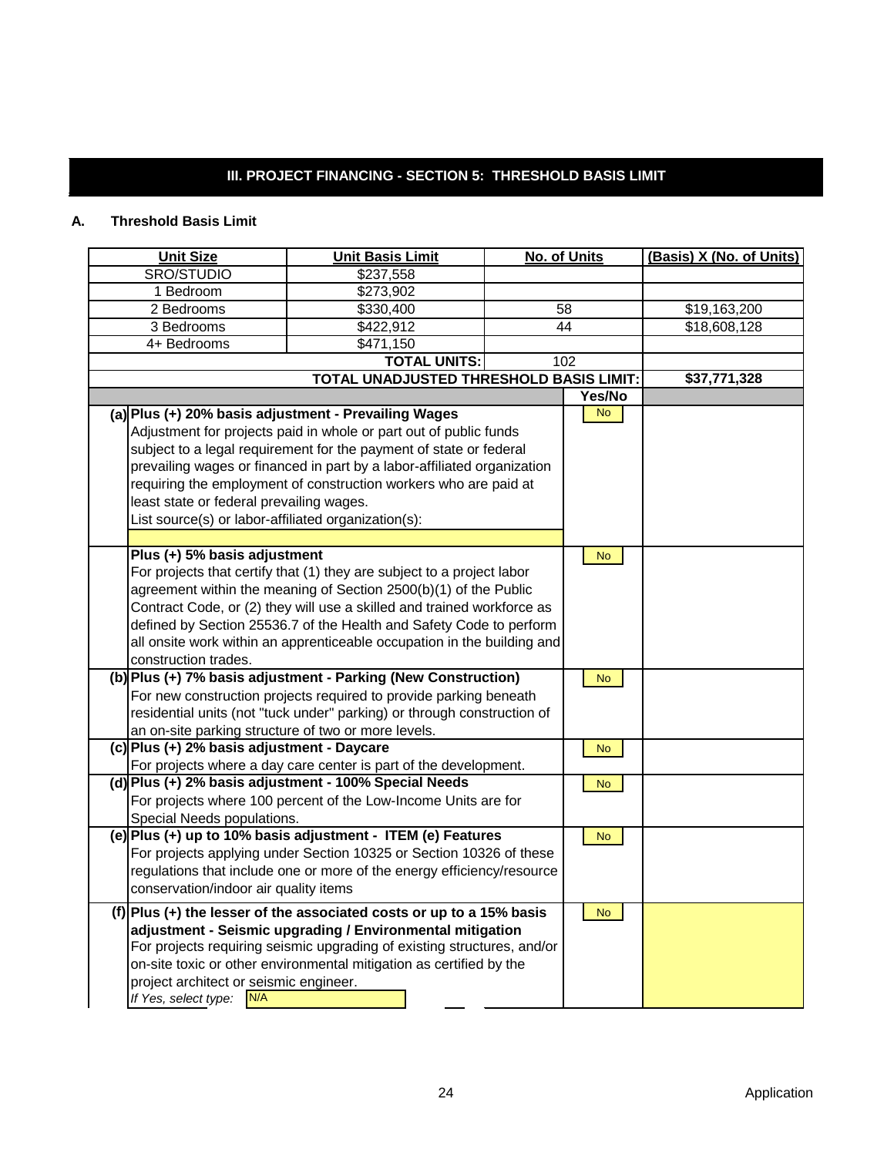# **III. PROJECT FINANCING - SECTION 5: THRESHOLD BASIS LIMIT**

# **A. Threshold Basis Limit**

| <b>Unit Size</b>                                    | <b>Unit Basis Limit</b>                                                 | No. of Units | (Basis) X (No. of Units) |
|-----------------------------------------------------|-------------------------------------------------------------------------|--------------|--------------------------|
| SRO/STUDIO                                          | \$237,558                                                               |              |                          |
| 1 Bedroom                                           | \$273,902                                                               |              |                          |
| 2 Bedrooms                                          | \$330,400                                                               | 58           | \$19,163,200             |
| 3 Bedrooms                                          | \$422,912                                                               | 44           | \$18,608,128             |
| 4+ Bedrooms                                         | \$471,150                                                               |              |                          |
|                                                     | <b>TOTAL UNITS:</b>                                                     | 102          |                          |
|                                                     | <b>TOTAL UNADJUSTED THRESHOLD BASIS LIMIT:</b>                          |              | \$37,771,328             |
|                                                     |                                                                         | Yes/No       |                          |
|                                                     | (a) Plus (+) 20% basis adjustment - Prevailing Wages                    | <b>No</b>    |                          |
|                                                     | Adjustment for projects paid in whole or part out of public funds       |              |                          |
|                                                     | subject to a legal requirement for the payment of state or federal      |              |                          |
|                                                     | prevailing wages or financed in part by a labor-affiliated organization |              |                          |
|                                                     | requiring the employment of construction workers who are paid at        |              |                          |
| least state or federal prevailing wages.            |                                                                         |              |                          |
| List source(s) or labor-affiliated organization(s): |                                                                         |              |                          |
|                                                     |                                                                         |              |                          |
| Plus (+) 5% basis adjustment                        |                                                                         | <b>No</b>    |                          |
|                                                     | For projects that certify that (1) they are subject to a project labor  |              |                          |
|                                                     | agreement within the meaning of Section 2500(b)(1) of the Public        |              |                          |
|                                                     | Contract Code, or (2) they will use a skilled and trained workforce as  |              |                          |
|                                                     | defined by Section 25536.7 of the Health and Safety Code to perform     |              |                          |
|                                                     | all onsite work within an apprenticeable occupation in the building and |              |                          |
| construction trades.                                |                                                                         |              |                          |
|                                                     | (b) Plus (+) 7% basis adjustment - Parking (New Construction)           | <b>No</b>    |                          |
|                                                     | For new construction projects required to provide parking beneath       |              |                          |
|                                                     | residential units (not "tuck under" parking) or through construction of |              |                          |
| an on-site parking structure of two or more levels. |                                                                         |              |                          |
| (c) Plus (+) 2% basis adjustment - Daycare          |                                                                         | <b>No</b>    |                          |
|                                                     | For projects where a day care center is part of the development.        |              |                          |
|                                                     | (d) Plus (+) 2% basis adjustment - 100% Special Needs                   | No.          |                          |
|                                                     | For projects where 100 percent of the Low-Income Units are for          |              |                          |
| Special Needs populations.                          |                                                                         |              |                          |
|                                                     | (e) Plus (+) up to 10% basis adjustment - ITEM (e) Features             | <b>No</b>    |                          |
|                                                     | For projects applying under Section 10325 or Section 10326 of these     |              |                          |
|                                                     | regulations that include one or more of the energy efficiency/resource  |              |                          |
| conservation/indoor air quality items               |                                                                         |              |                          |
|                                                     | $(f)$  Plus (+) the lesser of the associated costs or up to a 15% basis | <b>No</b>    |                          |
|                                                     | adjustment - Seismic upgrading / Environmental mitigation               |              |                          |
|                                                     | For projects requiring seismic upgrading of existing structures, and/or |              |                          |
|                                                     | on-site toxic or other environmental mitigation as certified by the     |              |                          |
| project architect or seismic engineer.              |                                                                         |              |                          |
| N/A<br>If Yes, select type:                         |                                                                         |              |                          |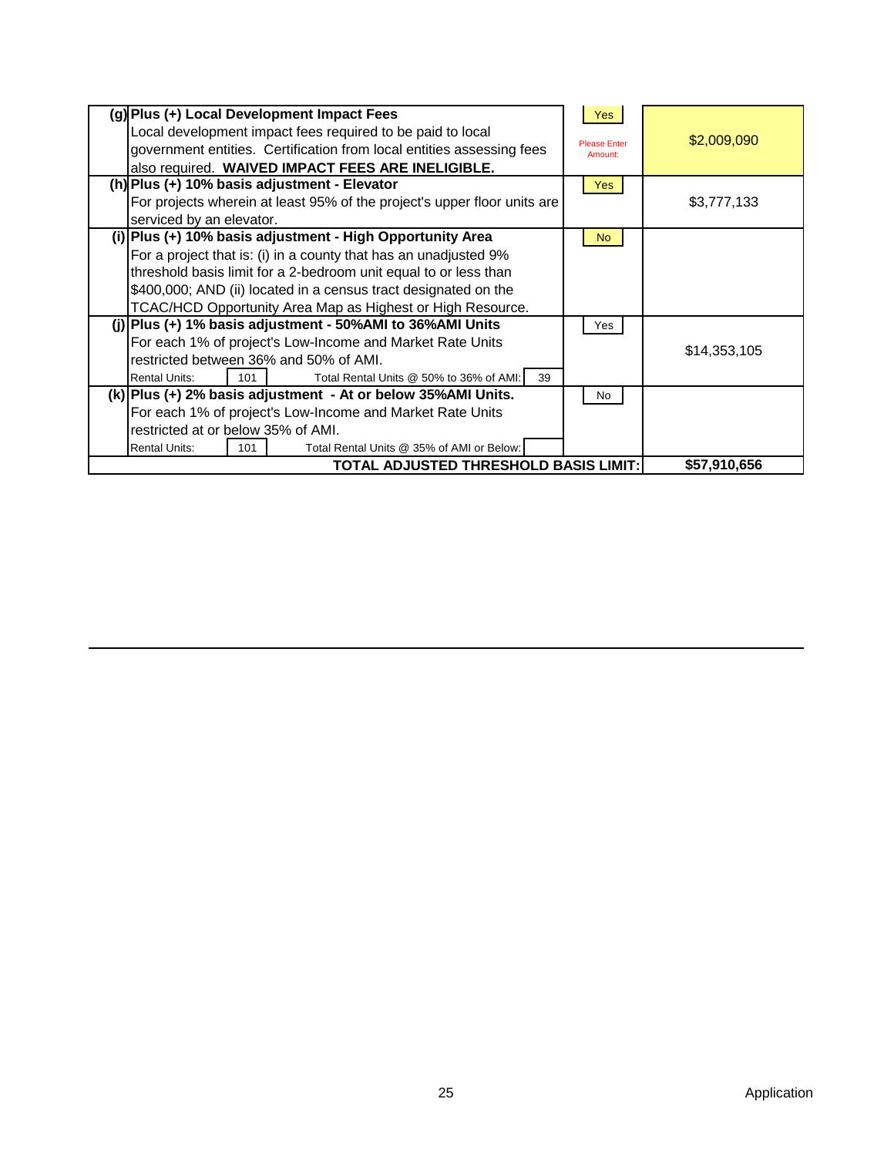|                                                                 | (g) Plus (+) Local Development Impact Fees                               | <b>Yes</b>          |              |
|-----------------------------------------------------------------|--------------------------------------------------------------------------|---------------------|--------------|
|                                                                 | Local development impact fees required to be paid to local               | <b>Please Enter</b> | \$2,009,090  |
|                                                                 | government entities. Certification from local entities assessing fees    | Amount:             |              |
|                                                                 | also required. WAIVED IMPACT FEES ARE INELIGIBLE.                        |                     |              |
|                                                                 | (h) Plus (+) 10% basis adjustment - Elevator                             | Yes                 |              |
|                                                                 | For projects wherein at least 95% of the project's upper floor units are |                     | \$3,777,133  |
| serviced by an elevator.                                        |                                                                          |                     |              |
|                                                                 | (i) Plus (+) 10% basis adjustment - High Opportunity Area                | No.                 |              |
|                                                                 | For a project that is: (i) in a county that has an unadjusted 9%         |                     |              |
|                                                                 | threshold basis limit for a 2-bedroom unit equal to or less than         |                     |              |
| \$400,000; AND (ii) located in a census tract designated on the |                                                                          |                     |              |
|                                                                 | TCAC/HCD Opportunity Area Map as Highest or High Resource.               |                     |              |
|                                                                 | (j) Plus (+) 1% basis adjustment - 50% AMI to 36% AMI Units              | Yes                 |              |
|                                                                 | For each 1% of project's Low-Income and Market Rate Units                |                     | \$14,353,105 |
|                                                                 | restricted between 36% and 50% of AMI.                                   |                     |              |
| <b>Rental Units:</b><br>101                                     | Total Rental Units @ 50% to 36% of AMI:<br>39                            |                     |              |
|                                                                 | (k) Plus (+) 2% basis adjustment - At or below 35% AMI Units.            | No                  |              |
|                                                                 | For each 1% of project's Low-Income and Market Rate Units                |                     |              |
| restricted at or below 35% of AMI.                              |                                                                          |                     |              |
| <b>Rental Units:</b><br>101                                     | Total Rental Units @ 35% of AMI or Below:                                |                     |              |
|                                                                 | TOTAL ADJUSTED THRESHOLD BASIS LIMIT:                                    |                     | \$57,910,656 |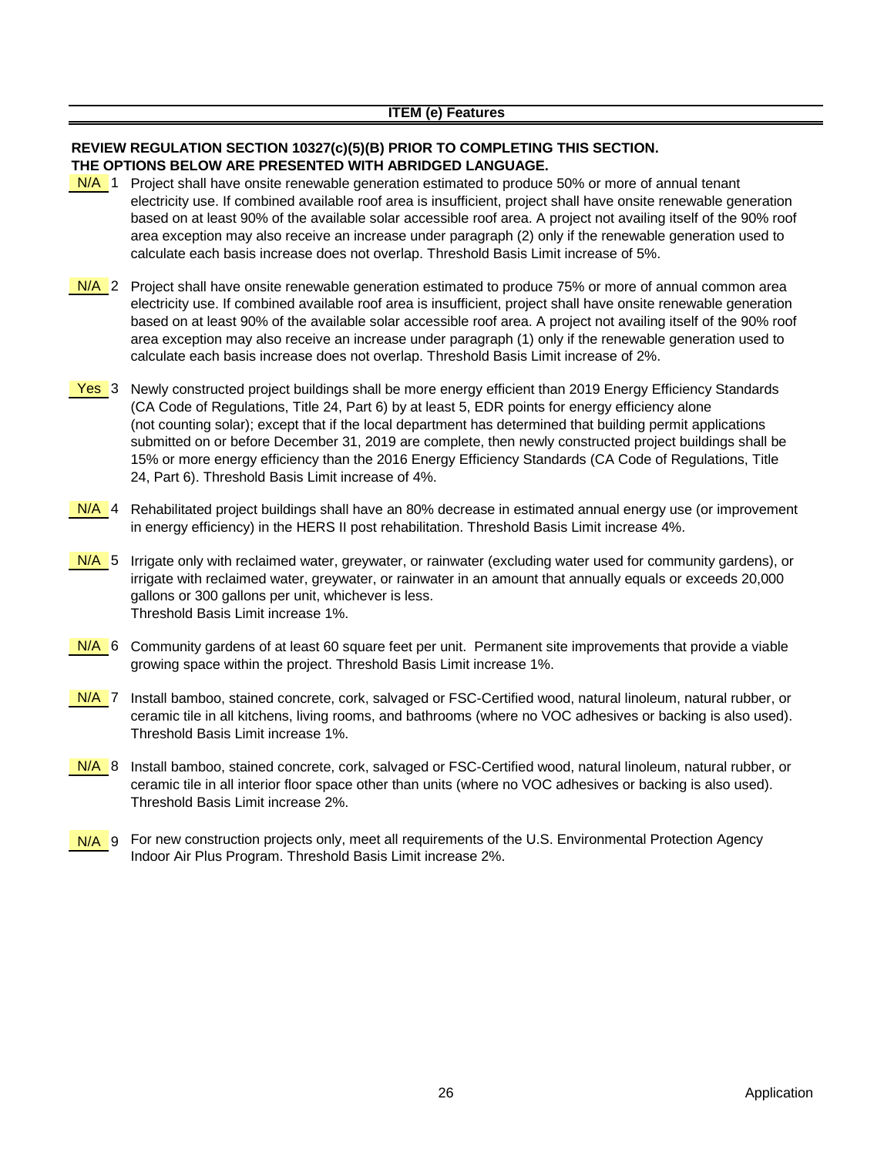#### **REVIEW REGULATION SECTION 10327(c)(5)(B) PRIOR TO COMPLETING THIS SECTION. THE OPTIONS BELOW ARE PRESENTED WITH ABRIDGED LANGUAGE.**

- N/A 1 Project shall have onsite renewable generation estimated to produce 50% or more of annual tenant electricity use. If combined available roof area is insufficient, project shall have onsite renewable generation based on at least 90% of the available solar accessible roof area. A project not availing itself of the 90% roof area exception may also receive an increase under paragraph (2) only if the renewable generation used to calculate each basis increase does not overlap. Threshold Basis Limit increase of 5%.
- N/A 2 Project shall have onsite renewable generation estimated to produce 75% or more of annual common area electricity use. If combined available roof area is insufficient, project shall have onsite renewable generation based on at least 90% of the available solar accessible roof area. A project not availing itself of the 90% roof area exception may also receive an increase under paragraph (1) only if the renewable generation used to calculate each basis increase does not overlap. Threshold Basis Limit increase of 2%.
- Yes 3 Newly constructed project buildings shall be more energy efficient than 2019 Energy Efficiency Standards (CA Code of Regulations, Title 24, Part 6) by at least 5, EDR points for energy efficiency alone (not counting solar); except that if the local department has determined that building permit applications submitted on or before December 31, 2019 are complete, then newly constructed project buildings shall be 15% or more energy efficiency than the 2016 Energy Efficiency Standards (CA Code of Regulations, Title 24, Part 6). Threshold Basis Limit increase of 4%.
- N/A 4 Rehabilitated project buildings shall have an 80% decrease in estimated annual energy use (or improvement in energy efficiency) in the HERS II post rehabilitation. Threshold Basis Limit increase 4%.
- N/A 5 Irrigate only with reclaimed water, greywater, or rainwater (excluding water used for community gardens), or irrigate with reclaimed water, greywater, or rainwater in an amount that annually equals or exceeds 20,000 gallons or 300 gallons per unit, whichever is less. Threshold Basis Limit increase 1%.
- N/A 6 Community gardens of at least 60 square feet per unit. Permanent site improvements that provide a viable growing space within the project. Threshold Basis Limit increase 1%.
- N/A 7 Install bamboo, stained concrete, cork, salvaged or FSC-Certified wood, natural linoleum, natural rubber, or ceramic tile in all kitchens, living rooms, and bathrooms (where no VOC adhesives or backing is also used). Threshold Basis Limit increase 1%.
- N/A 8 Install bamboo, stained concrete, cork, salvaged or FSC-Certified wood, natural linoleum, natural rubber, or ceramic tile in all interior floor space other than units (where no VOC adhesives or backing is also used). Threshold Basis Limit increase 2%.
- N/A g For new construction projects only, meet all requirements of the U.S. Environmental Protection Agency Indoor Air Plus Program. Threshold Basis Limit increase 2%.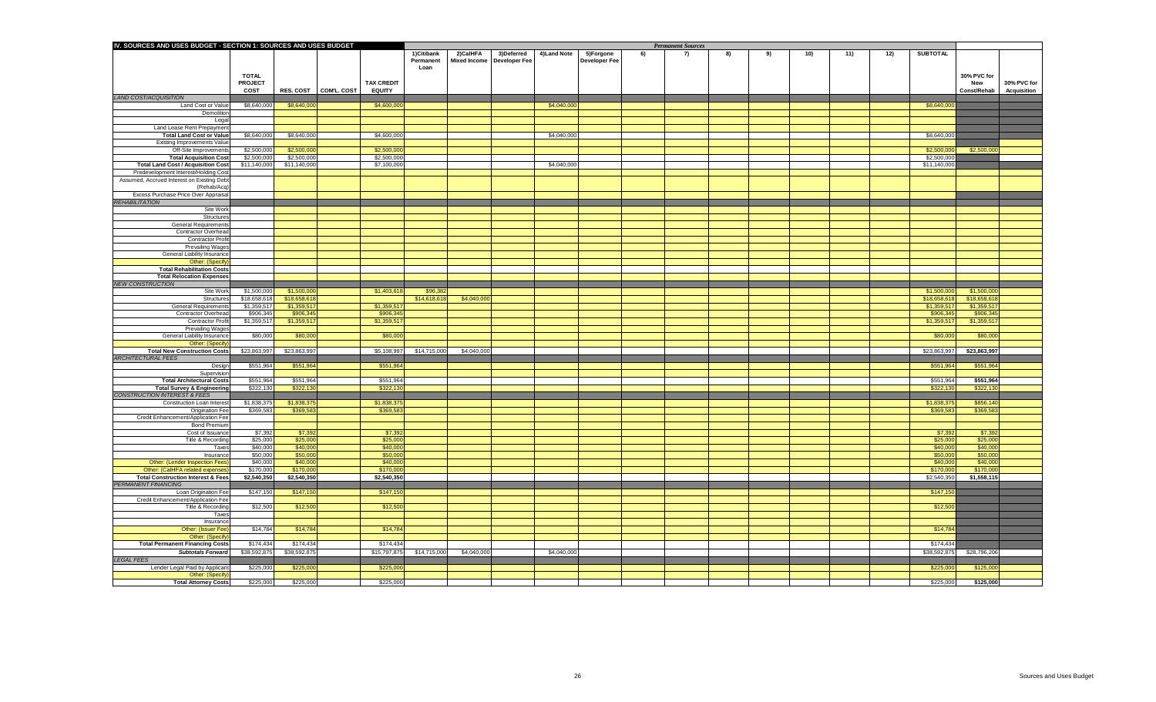| IV. SOURCES AND USES BUDGET - SECTION 1: SOURCES AND USES BUDGET                   |                             |                             |                         |                          |                          | <b>Permanent Sources</b> |                      |              |                      |     |     |    |    |     |     |     |                             |                             |                    |
|------------------------------------------------------------------------------------|-----------------------------|-----------------------------|-------------------------|--------------------------|--------------------------|--------------------------|----------------------|--------------|----------------------|-----|-----|----|----|-----|-----|-----|-----------------------------|-----------------------------|--------------------|
|                                                                                    |                             |                             |                         |                          | 1)Citibank               | 2)CalHFA                 | 3) Deferred          | 4) Land Note | 5)Forgone            | -6) | -7) | 8) | 9) | 10) | 11) | 12) | <b>SUBTOTAL</b>             |                             |                    |
|                                                                                    |                             |                             |                         |                          | Permanent<br>Loan        | <b>Mixed Income</b>      | <b>Developer Fee</b> |              | <b>Developer Fee</b> |     |     |    |    |     |     |     |                             |                             |                    |
|                                                                                    | <b>TOTAL</b>                |                             |                         |                          |                          |                          |                      |              |                      |     |     |    |    |     |     |     |                             | 30% PVC for                 |                    |
|                                                                                    | <b>PROJECT</b>              |                             |                         | <b>TAX CREDIT</b>        |                          |                          |                      |              |                      |     |     |    |    |     |     |     |                             | <b>New</b>                  | 30% PVC for        |
|                                                                                    | <b>COST</b>                 |                             | RES. COST   COM'L. COST | <b>EQUITY</b>            |                          |                          |                      |              |                      |     |     |    |    |     |     |     |                             | <b>Const/Rehab</b>          | <b>Acquisition</b> |
| <b>LAND COST/ACQUISITION</b>                                                       |                             |                             |                         |                          |                          |                          |                      |              |                      |     |     |    |    |     |     |     |                             |                             |                    |
| Land Cost or Value                                                                 | \$8,640,000                 | \$8,640,000                 |                         | \$4,600,000              |                          |                          |                      | \$4,040,000  |                      |     |     |    |    |     |     |     | \$8,640,000                 |                             |                    |
| Demolition                                                                         |                             |                             |                         |                          |                          |                          |                      |              |                      |     |     |    |    |     |     |     |                             |                             |                    |
| Lega<br>Land Lease Rent Prepayment                                                 |                             |                             |                         |                          |                          |                          |                      |              |                      |     |     |    |    |     |     |     |                             |                             |                    |
| <b>Total Land Cost or Value</b>                                                    | \$8,640,000                 | \$8,640,000                 |                         | \$4,600,000              |                          |                          |                      | \$4,040,000  |                      |     |     |    |    |     |     |     | \$8,640,000                 |                             |                    |
| <b>Existing Improvements Value</b>                                                 |                             |                             |                         |                          |                          |                          |                      |              |                      |     |     |    |    |     |     |     |                             |                             |                    |
| Off-Site Improvements                                                              | \$2,500,000                 | \$2,500,000                 |                         | \$2,500,000              |                          |                          |                      |              |                      |     |     |    |    |     |     |     | \$2,500,000                 | \$2,500,000                 |                    |
| <b>Total Acquisition Cost</b>                                                      | \$2,500,000                 | \$2,500,000                 |                         | \$2,500,000              |                          |                          |                      |              |                      |     |     |    |    |     |     |     | \$2,500,000                 |                             |                    |
| <b>Total Land Cost / Acquisition Cost</b>                                          | \$11,140,000                | \$11,140,000                |                         | \$7,100,000              |                          |                          |                      | \$4,040,000  |                      |     |     |    |    |     |     |     | \$11,140,000                |                             |                    |
| Predevelopment Interest/Holding Cost<br>Assumed, Accrued Interest on Existing Debt |                             |                             |                         |                          |                          |                          |                      |              |                      |     |     |    |    |     |     |     |                             |                             |                    |
| (Rehab/Acq                                                                         |                             |                             |                         |                          |                          |                          |                      |              |                      |     |     |    |    |     |     |     |                             |                             |                    |
| Excess Purchase Price Over Appraisa                                                |                             |                             |                         |                          |                          |                          |                      |              |                      |     |     |    |    |     |     |     |                             |                             |                    |
| <b>REHABILITATION</b>                                                              |                             |                             |                         |                          |                          |                          |                      |              |                      |     |     |    |    |     |     |     |                             |                             |                    |
| Site Work                                                                          |                             |                             |                         |                          |                          |                          |                      |              |                      |     |     |    |    |     |     |     |                             |                             |                    |
| Structures                                                                         |                             |                             |                         |                          |                          |                          |                      |              |                      |     |     |    |    |     |     |     |                             |                             |                    |
| <b>General Requirement</b>                                                         |                             |                             |                         |                          |                          |                          |                      |              |                      |     |     |    |    |     |     |     |                             |                             |                    |
| <b>Contractor Overhead</b>                                                         |                             |                             |                         |                          |                          |                          |                      |              |                      |     |     |    |    |     |     |     |                             |                             |                    |
| <b>Contractor Profit</b><br><b>Prevailing Wages</b>                                |                             |                             |                         |                          |                          |                          |                      |              |                      |     |     |    |    |     |     |     |                             |                             |                    |
| <b>General Liability Insurance</b>                                                 |                             |                             |                         |                          |                          |                          |                      |              |                      |     |     |    |    |     |     |     |                             |                             |                    |
| Other: (Specify                                                                    |                             |                             |                         |                          |                          |                          |                      |              |                      |     |     |    |    |     |     |     |                             |                             |                    |
| <b>Total Rehabilitation Costs</b>                                                  |                             |                             |                         |                          |                          |                          |                      |              |                      |     |     |    |    |     |     |     |                             |                             |                    |
| <b>Total Relocation Expenses</b>                                                   |                             |                             |                         |                          |                          |                          |                      |              |                      |     |     |    |    |     |     |     |                             |                             |                    |
| <b>NEW CONSTRUCTION</b>                                                            |                             |                             |                         |                          |                          |                          |                      |              |                      |     |     |    |    |     |     |     |                             |                             |                    |
| Site Work<br>Structures                                                            | \$1,500,000<br>\$18,658,618 | \$1,500,000<br>\$18,658,618 |                         | \$1,403,618              | \$96,382<br>\$14,618,618 | \$4,040,000              |                      |              |                      |     |     |    |    |     |     |     | \$1,500,000<br>\$18,658,618 | \$1,500,000<br>\$18,658,618 |                    |
| <b>General Requirement</b>                                                         | \$1,359,517                 | \$1,359,51                  |                         | \$1,359,517              |                          |                          |                      |              |                      |     |     |    |    |     |     |     | \$1,359,517                 | \$1,359,517                 |                    |
| <b>Contractor Overhead</b>                                                         | \$906,345                   | \$906,345                   |                         | \$906,345                |                          |                          |                      |              |                      |     |     |    |    |     |     |     | \$906,345                   | \$906,345                   |                    |
| <b>Contractor Profit</b>                                                           | \$1,359,517                 | \$1,359,517                 |                         | \$1,359,517              |                          |                          |                      |              |                      |     |     |    |    |     |     |     | \$1,359,517                 | \$1,359,517                 |                    |
| <b>Prevailing Wages</b>                                                            |                             |                             |                         |                          |                          |                          |                      |              |                      |     |     |    |    |     |     |     |                             |                             |                    |
| <b>General Liability Insurance</b>                                                 | \$80,000                    | \$80,000                    |                         | \$80,000                 |                          |                          |                      |              |                      |     |     |    |    |     |     |     | \$80,000                    | \$80,000                    |                    |
| <b>Other: (Specify</b>                                                             |                             |                             |                         |                          |                          |                          |                      |              |                      |     |     |    |    |     |     |     |                             |                             |                    |
| <b>Total New Construction Costs</b><br><b>ARCHITECTURAL FEES</b>                   | \$23,863,997                | \$23,863,997                |                         | \$5,108,997              | \$14,715,000             | \$4,040,000              |                      |              |                      |     |     |    |    |     |     |     | \$23,863,997                | \$23,863,997                |                    |
| Design                                                                             | \$551,964                   | \$551,964                   |                         | \$551,964                |                          |                          |                      |              |                      |     |     |    |    |     |     |     | \$551,964                   | \$551,964                   |                    |
| Supervision                                                                        |                             |                             |                         |                          |                          |                          |                      |              |                      |     |     |    |    |     |     |     |                             |                             |                    |
| <b>Total Architectural Costs</b>                                                   | \$551,964                   | \$551,964                   |                         | \$551,964                |                          |                          |                      |              |                      |     |     |    |    |     |     |     | \$551,964                   | \$551,964                   |                    |
| <b>Total Survey &amp; Engineering</b>                                              | \$322,130                   | \$322,130                   |                         | \$322,130                |                          |                          |                      |              |                      |     |     |    |    |     |     |     | \$322,130                   | \$322,130                   |                    |
| <b>CONSTRUCTION INTEREST &amp; FEES</b>                                            |                             |                             |                         |                          |                          |                          |                      |              |                      |     |     |    |    |     |     |     |                             |                             |                    |
| <b>Construction Loan Interest</b><br><b>Origination Fee</b>                        | \$1,838,375<br>\$369,583    | \$1,838,375<br>\$369,583    |                         | \$1,838,375<br>\$369,583 |                          |                          |                      |              |                      |     |     |    |    |     |     |     | \$1,838,375<br>\$369,583    | \$856,140<br>\$369,583      |                    |
| Credit Enhancement/Application Fee                                                 |                             |                             |                         |                          |                          |                          |                      |              |                      |     |     |    |    |     |     |     |                             |                             |                    |
| <b>Bond Premium</b>                                                                |                             |                             |                         |                          |                          |                          |                      |              |                      |     |     |    |    |     |     |     |                             |                             |                    |
| Cost of Issuance                                                                   | \$7,392                     | \$7,392                     |                         | \$7,392                  |                          |                          |                      |              |                      |     |     |    |    |     |     |     | \$7,392                     | \$7,392                     |                    |
| Title & Recording                                                                  | \$25,000                    | \$25,000                    |                         | \$25,000                 |                          |                          |                      |              |                      |     |     |    |    |     |     |     | \$25,000                    | \$25,000                    |                    |
| Taxes                                                                              | \$40,000                    | \$40,000                    |                         | \$40,000                 |                          |                          |                      |              |                      |     |     |    |    |     |     |     | \$40,000                    | \$40,000                    |                    |
| Insurance                                                                          | \$50,000                    | \$50,000                    |                         | \$50,000                 |                          |                          |                      |              |                      |     |     |    |    |     |     |     | \$50,000                    | \$50,000                    |                    |
| <b>Other: (Lender Inspection Fees</b><br>Other: (CalHFA related expenses           | \$40,000<br>\$170,000       | \$40,000<br>\$170,000       |                         | \$40,000<br>\$170,000    |                          |                          |                      |              |                      |     |     |    |    |     |     |     | \$40,000<br>\$170,000       | \$40,000<br>\$170,000       |                    |
| <b>Total Construction Interest &amp; Fees</b>                                      | \$2,540,350                 | \$2,540,350                 |                         | \$2,540,350              |                          |                          |                      |              |                      |     |     |    |    |     |     |     | \$2,540,350                 | \$1,558,115                 |                    |
| <b>PERMANENT FINANCING</b>                                                         |                             |                             |                         |                          |                          |                          |                      |              |                      |     |     |    |    |     |     |     |                             |                             |                    |
| Loan Origination Fee                                                               | \$147,150                   | \$147,150                   |                         | \$147,150                |                          |                          |                      |              |                      |     |     |    |    |     |     |     | \$147,150                   |                             |                    |
| Credit Enhancement/Application Fee                                                 |                             |                             |                         |                          |                          |                          |                      |              |                      |     |     |    |    |     |     |     |                             |                             |                    |
| Title & Recording                                                                  | \$12,500                    | \$12,500                    |                         | \$12,500                 |                          |                          |                      |              |                      |     |     |    |    |     |     |     | \$12,500                    |                             |                    |
| <b>Taxes</b>                                                                       |                             |                             |                         |                          |                          |                          |                      |              |                      |     |     |    |    |     |     |     |                             |                             |                    |
| Insurance<br><b>Other: (Issuer Fee)</b>                                            | \$14,784                    | \$14,784                    |                         | \$14,784                 |                          |                          |                      |              |                      |     |     |    |    |     |     |     | \$14,784                    |                             |                    |
| <b>Other: (Specify</b>                                                             |                             |                             |                         |                          |                          |                          |                      |              |                      |     |     |    |    |     |     |     |                             |                             |                    |
| <b>Total Permanent Financing Costs</b>                                             | \$174,434                   | \$174,434                   |                         | \$174,434                |                          |                          |                      |              |                      |     |     |    |    |     |     |     | \$174,434                   |                             |                    |
| <b>Subtotals Forward</b>                                                           | \$38,592,875                | \$38,592,875                |                         | \$15,797,875             | \$14,715,000             | \$4,040,000              |                      | \$4,040,000  |                      |     |     |    |    |     |     |     | \$38,592,875                | \$28,796,206                |                    |
| <b>LEGAL FEES</b>                                                                  |                             |                             |                         |                          |                          |                          |                      |              |                      |     |     |    |    |     |     |     |                             |                             |                    |
| Lender Legal Paid by Applicant                                                     | \$225,000                   | \$225,000                   |                         | \$225,000                |                          |                          |                      |              |                      |     |     |    |    |     |     |     | \$225,000                   | \$125,000                   |                    |
| <b>Other: (Specify</b>                                                             |                             |                             |                         |                          |                          |                          |                      |              |                      |     |     |    |    |     |     |     |                             |                             |                    |
| <b>Total Attorney Costs</b>                                                        | \$225,000                   | \$225,000                   |                         | \$225,000                |                          |                          |                      |              |                      |     |     |    |    |     |     |     | \$225,000                   | \$125,000                   |                    |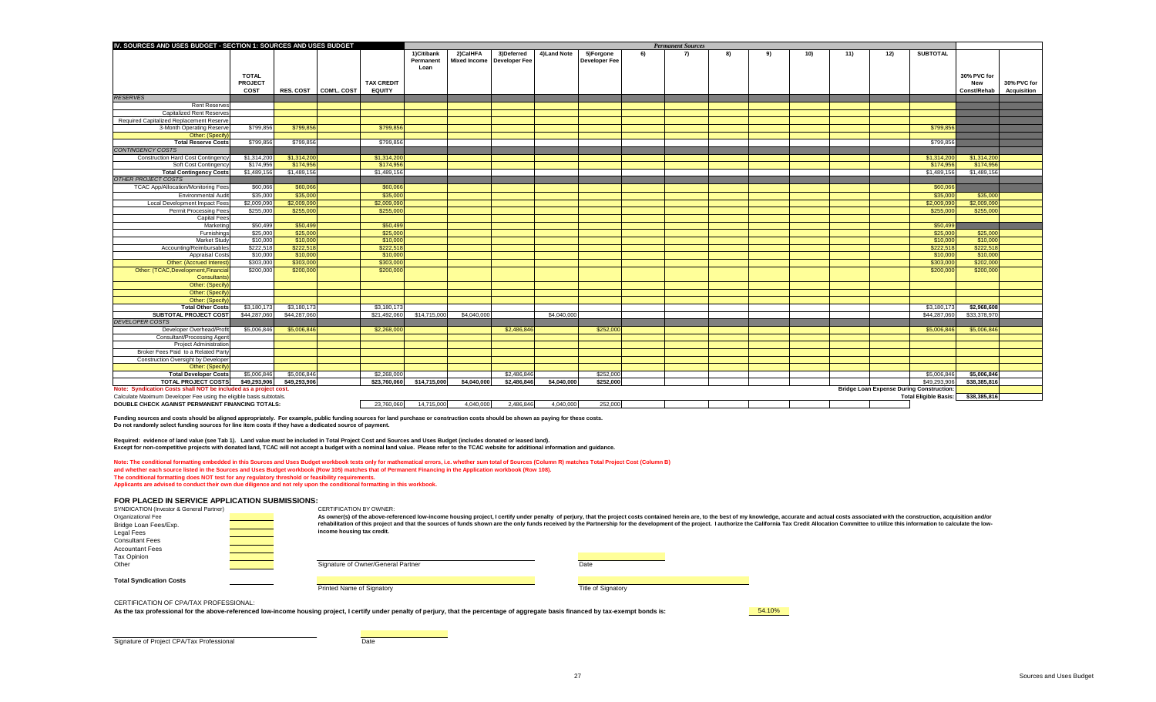| IV. SOURCES AND USES BUDGET - SECTION 1: SOURCES AND USES BUDGET                                                               |                |              |                         |                   | <b>Permanent Sources</b> |                              |             |              |                      |    |    |     |     |     |     |     |                                                 |                    |                    |
|--------------------------------------------------------------------------------------------------------------------------------|----------------|--------------|-------------------------|-------------------|--------------------------|------------------------------|-------------|--------------|----------------------|----|----|-----|-----|-----|-----|-----|-------------------------------------------------|--------------------|--------------------|
|                                                                                                                                |                |              |                         |                   | 1)Citibank               | 2)CalHFA                     | 3)Deferred  | 4) Land Note | 5)Forgone            | 6) | 7) | -8) | -91 | 10) | 11) | 12) | <b>SUBTOTAL</b>                                 |                    |                    |
|                                                                                                                                |                |              |                         |                   | Permanent                | Mixed Income   Developer Fee |             |              | <b>Developer Fee</b> |    |    |     |     |     |     |     |                                                 |                    |                    |
|                                                                                                                                |                |              |                         |                   | Loan                     |                              |             |              |                      |    |    |     |     |     |     |     |                                                 |                    |                    |
|                                                                                                                                | <b>TOTAL</b>   |              |                         |                   |                          |                              |             |              |                      |    |    |     |     |     |     |     |                                                 | 30% PVC for        |                    |
|                                                                                                                                | <b>PROJECT</b> |              |                         | <b>TAX CREDIT</b> |                          |                              |             |              |                      |    |    |     |     |     |     |     |                                                 | <b>New</b>         | 30% PVC for        |
|                                                                                                                                | <b>COST</b>    |              | RES. COST   COM'L. COST | <b>EQUITY</b>     |                          |                              |             |              |                      |    |    |     |     |     |     |     |                                                 | <b>Const/Rehab</b> | <b>Acquisition</b> |
| <b>RESERVES</b>                                                                                                                |                |              |                         |                   |                          |                              |             |              |                      |    |    |     |     |     |     |     |                                                 |                    |                    |
| <b>Rent Reserves</b>                                                                                                           |                |              |                         |                   |                          |                              |             |              |                      |    |    |     |     |     |     |     |                                                 |                    |                    |
| <b>Capitalized Rent Reserves</b>                                                                                               |                |              |                         |                   |                          |                              |             |              |                      |    |    |     |     |     |     |     |                                                 |                    |                    |
| Required Capitalized Replacement Reserve<br>3-Month Operating Reserve                                                          | \$799,856      | \$799,856    |                         | \$799,856         |                          |                              |             |              |                      |    |    |     |     |     |     |     | \$799,856                                       |                    |                    |
| Other: (Specify                                                                                                                |                |              |                         |                   |                          |                              |             |              |                      |    |    |     |     |     |     |     |                                                 |                    |                    |
| <b>Total Reserve Costs</b>                                                                                                     | \$799,856      | \$799,856    |                         | \$799,856         |                          |                              |             |              |                      |    |    |     |     |     |     |     | \$799,856                                       |                    |                    |
| <b>CONTINGENCY COSTS</b>                                                                                                       |                |              |                         |                   |                          |                              |             |              |                      |    |    |     |     |     |     |     |                                                 |                    |                    |
| <b>Construction Hard Cost Contingency</b>                                                                                      | \$1,314,200    | \$1,314,200  |                         | \$1,314,200       |                          |                              |             |              |                      |    |    |     |     |     |     |     | \$1,314,200                                     | \$1,314,200        |                    |
| <b>Soft Cost Contingency</b>                                                                                                   | \$174,956      | \$174,956    |                         | \$174,956         |                          |                              |             |              |                      |    |    |     |     |     |     |     | \$174,956                                       | \$174,956          |                    |
| <b>Total Contingency Costs</b>                                                                                                 | \$1,489,156    | \$1,489,156  |                         | \$1,489,156       |                          |                              |             |              |                      |    |    |     |     |     |     |     | \$1,489,156                                     | \$1,489,156        |                    |
| <b>OTHER PROJECT COSTS</b>                                                                                                     |                |              |                         |                   |                          |                              |             |              |                      |    |    |     |     |     |     |     |                                                 |                    |                    |
| <b>TCAC App/Allocation/Monitoring Fees</b>                                                                                     | \$60,066       | \$60,066     |                         | \$60,066          |                          |                              |             |              |                      |    |    |     |     |     |     |     | \$60,066                                        |                    |                    |
| <b>Environmental Audit</b>                                                                                                     | \$35,000       | \$35,000     |                         | \$35,000          |                          |                              |             |              |                      |    |    |     |     |     |     |     | \$35,000                                        | \$35,000           |                    |
| Local Development Impact Fees                                                                                                  | \$2,009,090    | \$2,009,090  |                         | \$2,009,090       |                          |                              |             |              |                      |    |    |     |     |     |     |     | \$2,009,09                                      | \$2,009,090        |                    |
| <b>Permit Processing Fees</b>                                                                                                  | \$255,000      | \$255,000    |                         | \$255,000         |                          |                              |             |              |                      |    |    |     |     |     |     |     | \$255,000                                       | \$255,000          |                    |
| <b>Capital Fees</b>                                                                                                            |                |              |                         |                   |                          |                              |             |              |                      |    |    |     |     |     |     |     |                                                 |                    |                    |
| Marketing                                                                                                                      | \$50,499       | \$50,499     |                         | \$50,499          |                          |                              |             |              |                      |    |    |     |     |     |     |     | \$50,499                                        |                    |                    |
| Furnishings                                                                                                                    | \$25,000       | \$25,000     |                         | \$25,000          |                          |                              |             |              |                      |    |    |     |     |     |     |     | \$25,000                                        | \$25,000           |                    |
| Market Stud                                                                                                                    | \$10,000       | \$10,000     |                         | \$10,000          |                          |                              |             |              |                      |    |    |     |     |     |     |     | \$10,000                                        | \$10,000           |                    |
| Accounting/Reimbursables                                                                                                       | \$222,518      | \$222,518    |                         | \$222,518         |                          |                              |             |              |                      |    |    |     |     |     |     |     | \$222,518                                       | \$222,518          |                    |
| <b>Appraisal Costs</b>                                                                                                         | \$10,000       | \$10,000     |                         | \$10,000          |                          |                              |             |              |                      |    |    |     |     |     |     |     | \$10,000                                        | \$10,000           |                    |
| <b>Other: (Accrued Interest</b>                                                                                                | \$303,000      | \$303,000    |                         | \$303,000         |                          |                              |             |              |                      |    |    |     |     |     |     |     | \$303,000                                       | \$202,000          |                    |
| Other: (TCAC, Development, Financial                                                                                           | \$200,000      | \$200,000    |                         | \$200,000         |                          |                              |             |              |                      |    |    |     |     |     |     |     | \$200,000                                       | \$200,000          |                    |
| Consultants                                                                                                                    |                |              |                         |                   |                          |                              |             |              |                      |    |    |     |     |     |     |     |                                                 |                    |                    |
| Other: (Specify                                                                                                                |                |              |                         |                   |                          |                              |             |              |                      |    |    |     |     |     |     |     |                                                 |                    |                    |
| Other: (Specify                                                                                                                |                |              |                         |                   |                          |                              |             |              |                      |    |    |     |     |     |     |     |                                                 |                    |                    |
| Other: (Specify                                                                                                                |                |              |                         |                   |                          |                              |             |              |                      |    |    |     |     |     |     |     |                                                 |                    |                    |
| <b>Total Other Costs</b>                                                                                                       | \$3,180,173    | \$3,180,173  |                         | \$3,180,17        |                          |                              |             |              |                      |    |    |     |     |     |     |     | \$3,180,17                                      | \$2,968,608        |                    |
| <b>SUBTOTAL PROJECT COST</b>                                                                                                   | \$44,287,060   | \$44,287,060 |                         | \$21,492,060      | \$14,715,000             | \$4,040,000                  |             | \$4,040,000  |                      |    |    |     |     |     |     |     | \$44,287,060                                    | \$33,378,970       |                    |
| <b>DEVELOPER COSTS</b>                                                                                                         |                |              |                         |                   |                          |                              |             |              |                      |    |    |     |     |     |     |     |                                                 |                    |                    |
| Developer Overhead/Profit                                                                                                      | \$5,006,846    | \$5,006,846  |                         | \$2,268,000       |                          |                              | \$2,486,846 |              | \$252,000            |    |    |     |     |     |     |     | \$5,006,846                                     | \$5,006,846        |                    |
| <b>Consultant/Processing Agent</b>                                                                                             |                |              |                         |                   |                          |                              |             |              |                      |    |    |     |     |     |     |     |                                                 |                    |                    |
| <b>Project Administration</b>                                                                                                  |                |              |                         |                   |                          |                              |             |              |                      |    |    |     |     |     |     |     |                                                 |                    |                    |
| Broker Fees Paid to a Related Party                                                                                            |                |              |                         |                   |                          |                              |             |              |                      |    |    |     |     |     |     |     |                                                 |                    |                    |
| <b>Construction Oversight by Developer</b>                                                                                     |                |              |                         |                   |                          |                              |             |              |                      |    |    |     |     |     |     |     |                                                 |                    |                    |
| Other: (Specify)                                                                                                               |                |              |                         |                   |                          |                              |             |              |                      |    |    |     |     |     |     |     |                                                 |                    |                    |
| <b>Total Developer Costs</b>                                                                                                   | \$5,006,846    | \$5,006,846  |                         | \$2,268,000       |                          |                              | \$2,486,846 |              | \$252,000            |    |    |     |     |     |     |     | \$5,006,846                                     | \$5,006,846        |                    |
| <b>TOTAL PROJECT COSTS</b>                                                                                                     | \$49,293,906   | \$49,293,906 |                         | \$23,760,060      | \$14,715,000             | \$4,040,000                  | \$2,486,846 | \$4,040,000  | \$252,000            |    |    |     |     |     |     |     | \$49,293,906                                    | \$38,385,816       |                    |
| Note: Syndication Costs shall NOT be included as a project cost.                                                               |                |              |                         |                   |                          |                              |             |              |                      |    |    |     |     |     |     |     | <b>Bridge Loan Expense During Construction:</b> |                    |                    |
| Calculate Maximum Developer Fee using the eligible basis subtotals.<br><b>DOUBLE CHECK AGAINST PERMANENT FINANCING TOTALS:</b> |                |              |                         |                   |                          |                              |             |              |                      |    |    |     |     |     |     |     | <b>Total Eligible Basis:</b>                    | \$38,385,816       |                    |
|                                                                                                                                |                |              |                         | 23,760,060        | 14,715,000               | 4,040,000                    | 2,486,846   | 4,040,000    | 252,000              |    |    |     |     |     |     |     |                                                 |                    |                    |

Note: The conditional formatting embedded in this Sources and Uses Budget workbook tests only for mathematical errors, i.e. whether sum total of Sources (Column R) matches Total Project Cost (Column B) **and whether each source listed in the Sources and Uses Budget workbook (Row 105) matches that of Permanent Financing in the Application workbook (Row 108). The conditional formatting does NOT test for any regulatory threshold or feasibility requirements.** 

**Funding sources and costs should be aligned appropriately. For example, public funding sources for land purchase or construction costs should be shown as paying for these costs. Do not randomly select funding sources for line item costs if they have a dedicated source of payment.**

**Required: evidence of land value (see Tab 1). Land value must be included in Total Project Cost and Sources and Uses Budget (includes donated or leased land). Except for non-competitive projects with donated land, TCAC will not accept a budget with a nominal land value. Please refer to the TCAC website for additional information and guidance.** 

**Applicants are advised to conduct their own due diligence and not rely upon the conditional formatting in this workbook.** 

# **FOR PLACED IN SERVICE APPLICATION SUBMISSIONS:**

CERTIFICATION OF CPA/TAX PROFESSIONAL:

As the tax professional for the above-referenced low-income housing project, I certify under penalty of perjury, that the percentage of aggregate basis financed by tax-exempt bonds is: **64.10%** 

Signature of Project CPA/Tax Professional and Date Date

perjury, that the project costs contained herein are, to the best of my knowledge, accurate and actual costs associated with the construction, acquisition and/or ed by the Partnership for the development of the project. I authorize the California Tax Credit Allocation Committee to utilize this information to calculate the low-

| <b>SYNDICATION (Investor &amp; General Partner)</b> | CERTIFICATION BY OWNER:                                                                                  |      |
|-----------------------------------------------------|----------------------------------------------------------------------------------------------------------|------|
| Organizational Fee                                  | As owner(s) of the above-referenced low-income housing project, I certify under penalty of perjury, that |      |
| Bridge Loan Fees/Exp.                               | rehabilitation of this project and that the sources of funds shown are the only funds received by the Pa |      |
| Legal Fees                                          | income housing tax credit.                                                                               |      |
| <b>Consultant Fees</b>                              |                                                                                                          |      |
| <b>Accountant Fees</b>                              |                                                                                                          |      |
| Tax Opinion                                         |                                                                                                          |      |
| Other                                               | Signature of Owner/General Partner                                                                       | Date |
|                                                     |                                                                                                          |      |
| <b>Total Syndication Costs</b>                      |                                                                                                          |      |

Printed Name of Signatory **Title of Signatory Title of Signatory Title of Signatory**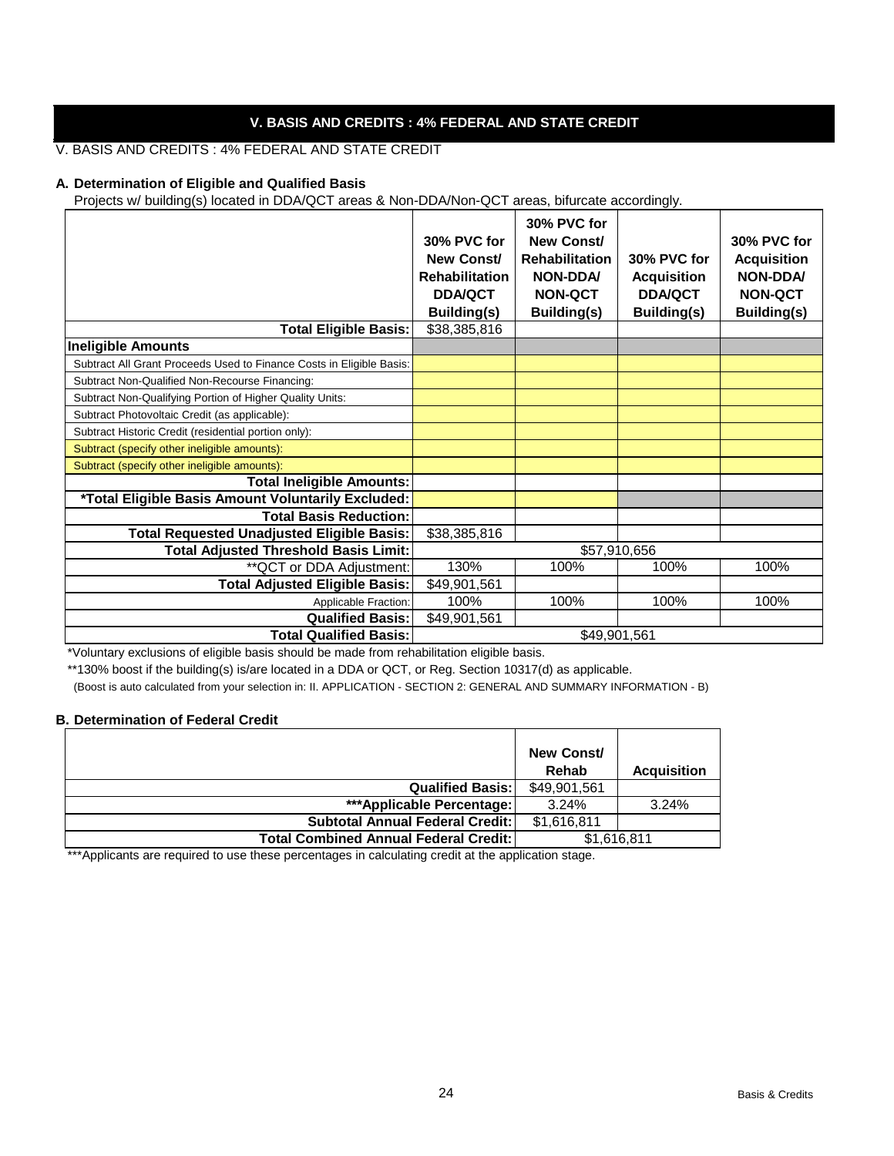# **V. BASIS AND CREDITS : 4% FEDERAL AND STATE CREDIT**

# V. BASIS AND CREDITS : 4% FEDERAL AND STATE CREDIT

#### **A. Determination of Eligible and Qualified Basis**

Projects w/ building(s) located in DDA/QCT areas & Non-DDA/Non-QCT areas, bifurcate accordingly.

|                                                                      |                       | 30% PVC for           |                    |                    |
|----------------------------------------------------------------------|-----------------------|-----------------------|--------------------|--------------------|
|                                                                      | 30% PVC for           | New Const/            |                    | 30% PVC for        |
|                                                                      | New Const/            | <b>Rehabilitation</b> | 30% PVC for        | <b>Acquisition</b> |
|                                                                      | <b>Rehabilitation</b> | <b>NON-DDA/</b>       | <b>Acquisition</b> | <b>NON-DDA/</b>    |
|                                                                      | <b>DDA/QCT</b>        | <b>NON-QCT</b>        | <b>DDA/QCT</b>     | <b>NON-QCT</b>     |
|                                                                      | <b>Building(s)</b>    | <b>Building(s)</b>    | <b>Building(s)</b> | <b>Building(s)</b> |
| <b>Total Eligible Basis:</b>                                         | \$38,385,816          |                       |                    |                    |
| <b>Ineligible Amounts</b>                                            |                       |                       |                    |                    |
| Subtract All Grant Proceeds Used to Finance Costs in Eligible Basis: |                       |                       |                    |                    |
| Subtract Non-Qualified Non-Recourse Financing:                       |                       |                       |                    |                    |
| Subtract Non-Qualifying Portion of Higher Quality Units:             |                       |                       |                    |                    |
| Subtract Photovoltaic Credit (as applicable):                        |                       |                       |                    |                    |
| Subtract Historic Credit (residential portion only):                 |                       |                       |                    |                    |
| Subtract (specify other ineligible amounts):                         |                       |                       |                    |                    |
| Subtract (specify other ineligible amounts):                         |                       |                       |                    |                    |
| <b>Total Ineligible Amounts:</b>                                     |                       |                       |                    |                    |
| *Total Eligible Basis Amount Voluntarily Excluded:                   |                       |                       |                    |                    |
| <b>Total Basis Reduction:</b>                                        |                       |                       |                    |                    |
| <b>Total Requested Unadjusted Eligible Basis:</b>                    | \$38,385,816          |                       |                    |                    |
| <b>Total Adjusted Threshold Basis Limit:</b>                         |                       |                       | \$57,910,656       |                    |
| ** QCT or DDA Adjustment:                                            | 130%                  | 100%                  | 100%               | 100%               |
| <b>Total Adjusted Eligible Basis:</b>                                | \$49,901,561          |                       |                    |                    |
| Applicable Fraction:                                                 | 100%                  | 100%                  | 100%               | 100%               |
| <b>Qualified Basis:</b>                                              | \$49,901,561          |                       |                    |                    |
| <b>Total Qualified Basis:</b>                                        |                       | \$49,901,561          |                    |                    |

\*Voluntary exclusions of eligible basis should be made from rehabilitation eligible basis.

\*\*130% boost if the building(s) is/are located in a DDA or QCT, or Reg. Section 10317(d) as applicable.

(Boost is auto calculated from your selection in: II. APPLICATION - SECTION 2: GENERAL AND SUMMARY INFORMATION - B)

#### **B. Determination of Federal Credit**

|                                              | <b>New Const/</b><br>Rehab | <b>Acquisition</b> |
|----------------------------------------------|----------------------------|--------------------|
| <b>Qualified Basis:</b>                      | \$49,901,561               |                    |
| ***Applicable Percentage:                    | 3.24%                      | 3.24%              |
| <b>Subtotal Annual Federal Credit:</b>       | \$1,616,811                |                    |
| <b>Total Combined Annual Federal Credit:</b> |                            | \$1,616,811        |

\*\*\*Applicants are required to use these percentages in calculating credit at the application stage.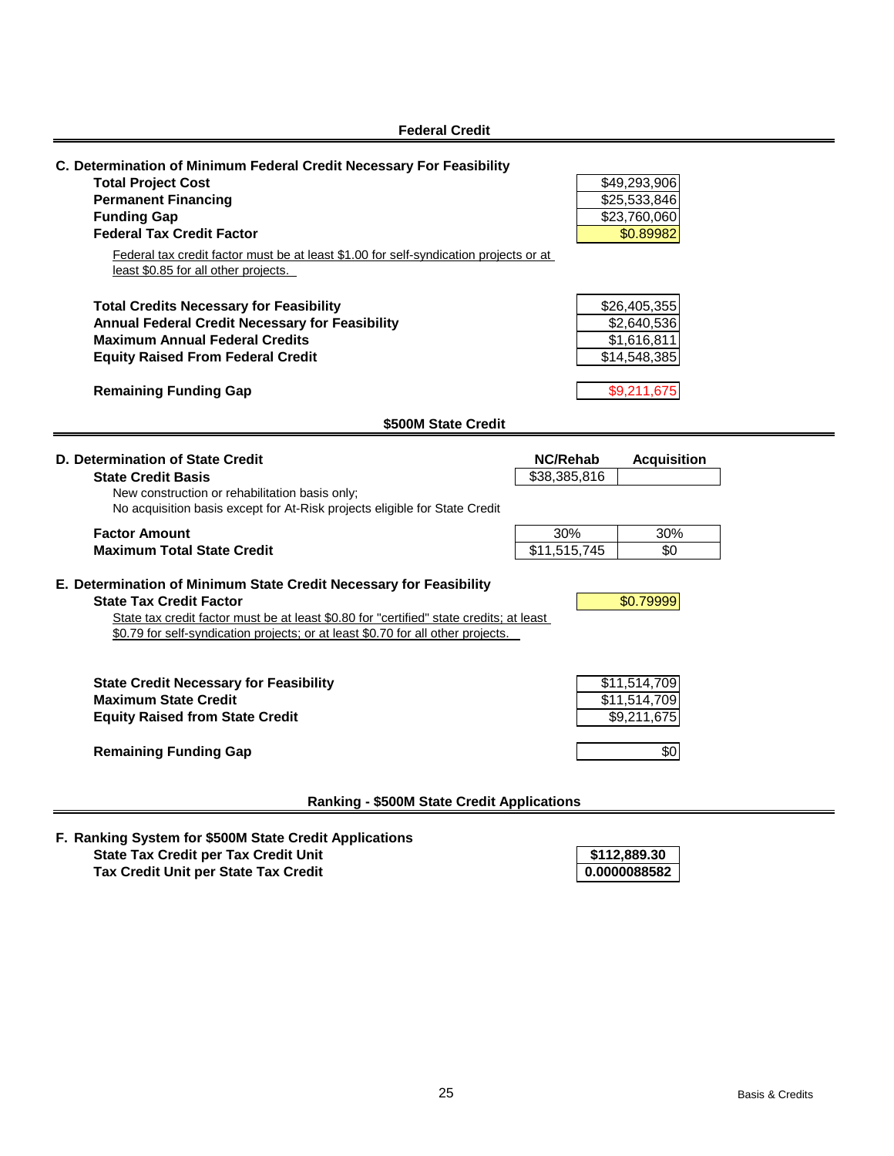| <b>Federal Credit</b>                                                                                                                                                                                                                                                                                                      |                                                            |
|----------------------------------------------------------------------------------------------------------------------------------------------------------------------------------------------------------------------------------------------------------------------------------------------------------------------------|------------------------------------------------------------|
| C. Determination of Minimum Federal Credit Necessary For Feasibility<br><b>Total Project Cost</b><br><b>Permanent Financing</b><br><b>Funding Gap</b><br><b>Federal Tax Credit Factor</b><br>Federal tax credit factor must be at least \$1.00 for self-syndication projects or at<br>least \$0.85 for all other projects. | \$49,293,906<br>\$25,533,846<br>\$23,760,060<br>\$0.89982  |
| <b>Total Credits Necessary for Feasibility</b><br><b>Annual Federal Credit Necessary for Feasibility</b><br><b>Maximum Annual Federal Credits</b><br><b>Equity Raised From Federal Credit</b>                                                                                                                              | \$26,405,355<br>\$2,640,536<br>\$1,616,811<br>\$14,548,385 |
| <b>Remaining Funding Gap</b>                                                                                                                                                                                                                                                                                               | \$9,211,675                                                |
| \$500M State Credit                                                                                                                                                                                                                                                                                                        |                                                            |
| D. Determination of State Credit<br><b>State Credit Basis</b><br>New construction or rehabilitation basis only;<br>No acquisition basis except for At-Risk projects eligible for State Credit                                                                                                                              | <b>NC/Rehab</b><br><b>Acquisition</b><br>\$38,385,816      |
| <b>Factor Amount</b><br><b>Maximum Total State Credit</b>                                                                                                                                                                                                                                                                  | 30%<br>30%<br>\$11,515,745<br>\$0                          |
| E. Determination of Minimum State Credit Necessary for Feasibility<br><b>State Tax Credit Factor</b><br>State tax credit factor must be at least \$0.80 for "certified" state credits; at least<br>\$0.79 for self-syndication projects; or at least \$0.70 for all other projects.                                        | \$0.79999                                                  |
| <b>State Credit Necessary for Feasibility</b><br><b>Maximum State Credit</b><br><b>Equity Raised from State Credit</b>                                                                                                                                                                                                     | \$11,514,709<br>\$11,514,709<br>\$9,211,675                |
| <b>Remaining Funding Gap</b>                                                                                                                                                                                                                                                                                               | \$0                                                        |
| <b>Ranking - \$500M State Credit Applications</b>                                                                                                                                                                                                                                                                          |                                                            |

**F. Ranking System for \$500M State Credit Applications State Tax Credit per Tax Credit Unit Tax Credit Unit per State Tax Credit 0.0000088582**

**\$112,889.30**